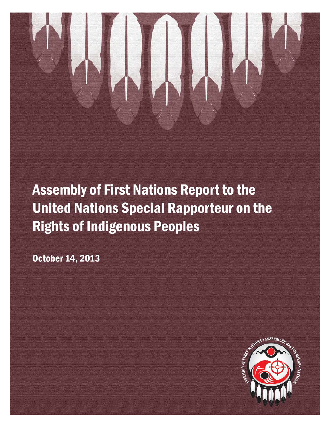# **Assembly of First Nations Report to the United Nations Special Rapporteur on the Rights of Indigenous Peoples**

**October 14, 2013** 

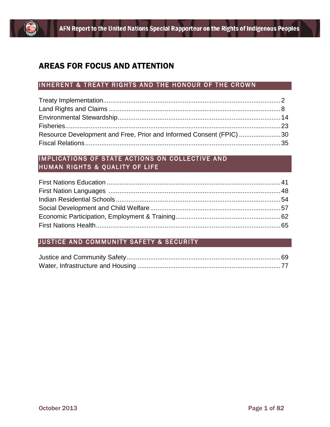

## AREAS FOR FOCUS AND ATTENTION

## INHERENT & TREATY RIGHTS AND THE HONOUR OF THE CROWN

| Resource Development and Free, Prior and Informed Consent (FPIC)30 |  |
|--------------------------------------------------------------------|--|
|                                                                    |  |

## IMPLICATIONS OF STATE ACTIONS ON COLLECTIVE AND HUMAN RIGHTS & QUALITY OF LIFE

## JUSTICE AND COMMUNITY SAFETY & SECURITY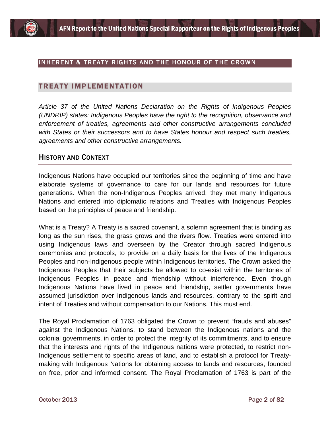

#### INHERENT & TREATY RIGHTS AND THE HONOUR OF THE CROWN

#### TREATY IMPLEMENTATION

*Article 37 of the United Nations Declaration on the Rights of Indigenous Peoples (UNDRIP) states: Indigenous Peoples have the right to the recognition, observance and enforcement of treaties, agreements and other constructive arrangements concluded with States or their successors and to have States honour and respect such treaties, agreements and other constructive arrangements.*

#### HISTORY AND CONTEXT

Indigenous Nations have occupied our territories since the beginning of time and have elaborate systems of governance to care for our lands and resources for future generations. When the non-Indigenous Peoples arrived, they met many Indigenous Nations and entered into diplomatic relations and Treaties with Indigenous Peoples based on the principles of peace and friendship.

What is a Treaty? A Treaty is a sacred covenant, a solemn agreement that is binding as long as the sun rises, the grass grows and the rivers flow. Treaties were entered into using Indigenous laws and overseen by the Creator through sacred Indigenous ceremonies and protocols, to provide on a daily basis for the lives of the Indigenous Peoples and non-Indigenous people within Indigenous territories. The Crown asked the Indigenous Peoples that their subjects be allowed to co-exist within the territories of Indigenous Peoples in peace and friendship without interference. Even though Indigenous Nations have lived in peace and friendship, settler governments have assumed jurisdiction over Indigenous lands and resources, contrary to the spirit and intent of Treaties and without compensation to our Nations. This must end.

The Royal Proclamation of 1763 obligated the Crown to prevent "frauds and abuses" against the Indigenous Nations, to stand between the Indigenous nations and the colonial governments, in order to protect the integrity of its commitments, and to ensure that the interests and rights of the Indigenous nations were protected, to restrict non-Indigenous settlement to specific areas of land, and to establish a protocol for Treatymaking with Indigenous Nations for obtaining access to lands and resources, founded on free, prior and informed consent. The Royal Proclamation of 1763 is part of the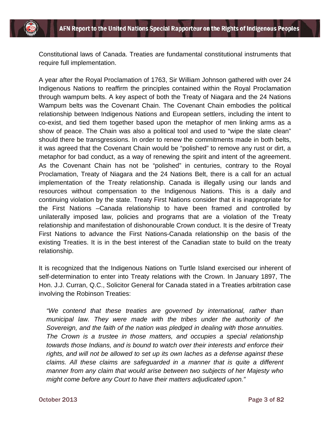Constitutional laws of Canada. Treaties are fundamental constitutional instruments that require full implementation.

A year after the Royal Proclamation of 1763, Sir William Johnson gathered with over 24 Indigenous Nations to reaffirm the principles contained within the Royal Proclamation through wampum belts. A key aspect of both the Treaty of Niagara and the 24 Nations Wampum belts was the Covenant Chain. The Covenant Chain embodies the political relationship between Indigenous Nations and European settlers, including the intent to co-exist, and tied them together based upon the metaphor of men linking arms as a show of peace. The Chain was also a political tool and used to "wipe the slate clean" should there be transgressions. In order to renew the commitments made in both belts, it was agreed that the Covenant Chain would be "polished" to remove any rust or dirt, a metaphor for bad conduct, as a way of renewing the spirit and intent of the agreement. As the Covenant Chain has not be "polished" in centuries, contrary to the Royal Proclamation, Treaty of Niagara and the 24 Nations Belt, there is a call for an actual implementation of the Treaty relationship. Canada is illegally using our lands and resources without compensation to the Indigenous Nations. This is a daily and continuing violation by the state. Treaty First Nations consider that it is inappropriate for the First Nations –Canada relationship to have been framed and controlled by unilaterally imposed law, policies and programs that are a violation of the Treaty relationship and manifestation of dishonourable Crown conduct. It is the desire of Treaty First Nations to advance the First Nations-Canada relationship on the basis of the existing Treaties. It is in the best interest of the Canadian state to build on the treaty relationship.

It is recognized that the Indigenous Nations on Turtle Island exercised our inherent of self-determination to enter into Treaty relations with the Crown. In January 1897, The Hon. J.J. Curran, Q.C., Solicitor General for Canada stated in a Treaties arbitration case involving the Robinson Treaties:

*"We contend that these treaties are governed by international, rather than municipal law. They were made with the tribes under the authority of the Sovereign, and the faith of the nation was pledged in dealing with those annuities. The Crown is a trustee in those matters, and occupies a special relationship towards those Indians, and is bound to watch over their interests and enforce their rights, and will not be allowed to set up its own laches as a defense against these claims. All these claims are safeguarded in a manner that is quite a different manner from any claim that would arise between two subjects of her Majesty who might come before any Court to have their matters adjudicated upon."*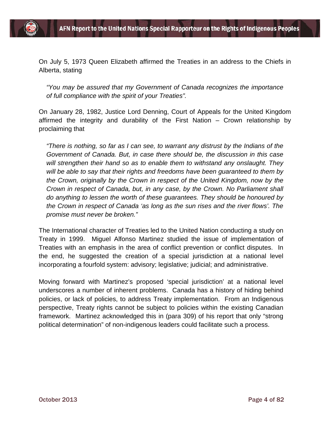

On July 5, 1973 Queen Elizabeth affirmed the Treaties in an address to the Chiefs in Alberta, stating

*"You may be assured that my Government of Canada recognizes the importance of full compliance with the spirit of your Treaties".*

On January 28, 1982, Justice Lord Denning, Court of Appeals for the United Kingdom affirmed the integrity and durability of the First Nation – Crown relationship by proclaiming that

*"There is nothing, so far as I can see, to warrant any distrust by the Indians of the Government of Canada. But, in case there should be, the discussion in this case will strengthen their hand so as to enable them to withstand any onslaught. They will be able to say that their rights and freedoms have been guaranteed to them by the Crown, originally by the Crown in respect of the United Kingdom, now by the Crown in respect of Canada, but, in any case, by the Crown. No Parliament shall do anything to lessen the worth of these guarantees. They should be honoured by the Crown in respect of Canada 'as long as the sun rises and the river flows'. The promise must never be broken."*

The International character of Treaties led to the United Nation conducting a study on Treaty in 1999. Miguel Alfonso Martinez studied the issue of implementation of Treaties with an emphasis in the area of conflict prevention or conflict disputes. In the end, he suggested the creation of a special jurisdiction at a national level incorporating a fourfold system: advisory; legislative; judicial; and administrative.

Moving forward with Martinez's proposed 'special jurisdiction' at a national level underscores a number of inherent problems. Canada has a history of hiding behind policies, or lack of policies, to address Treaty implementation. From an Indigenous perspective, Treaty rights cannot be subject to policies within the existing Canadian framework. Martinez acknowledged this in (para 309) of his report that only "strong political determination" of non-indigenous leaders could facilitate such a process.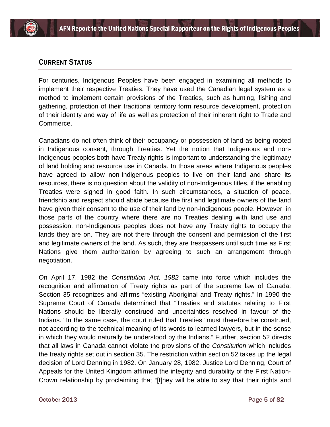## CURRENT STATUS

For centuries, Indigenous Peoples have been engaged in examining all methods to implement their respective Treaties. They have used the Canadian legal system as a method to implement certain provisions of the Treaties, such as hunting, fishing and gathering, protection of their traditional territory form resource development, protection of their identity and way of life as well as protection of their inherent right to Trade and Commerce.

Canadians do not often think of their occupancy or possession of land as being rooted in Indigenous consent, through Treaties. Yet the notion that Indigenous and non-Indigenous peoples both have Treaty rights is important to understanding the legitimacy of land holding and resource use in Canada. In those areas where Indigenous peoples have agreed to allow non-Indigenous peoples to live on their land and share its resources, there is no question about the validity of non-Indigenous titles, if the enabling Treaties were signed in good faith. In such circumstances, a situation of peace, friendship and respect should abide because the first and legitimate owners of the land have given their consent to the use of their land by non-Indigenous people. However, in those parts of the country where there are no Treaties dealing with land use and possession, non-Indigenous peoples does not have any Treaty rights to occupy the lands they are on. They are not there through the consent and permission of the first and legitimate owners of the land. As such, they are trespassers until such time as First Nations give them authorization by agreeing to such an arrangement through negotiation.

On April 17, 1982 the *Constitution Act, 1982* came into force which includes the recognition and affirmation of Treaty rights as part of the supreme law of Canada. Section 35 recognizes and affirms "existing Aboriginal and Treaty rights." In 1990 the Supreme Court of Canada determined that "Treaties and statutes relating to First Nations should be liberally construed and uncertainties resolved in favour of the Indians." In the same case, the court ruled that Treaties "must therefore be construed, not according to the technical meaning of its words to learned lawyers, but in the sense in which they would naturally be understood by the Indians." Further, section 52 directs that all laws in Canada cannot violate the provisions of the *Constitution* which includes the treaty rights set out in section 35. The restriction within section 52 takes up the legal decision of Lord Denning in 1982. On January 28, 1982, Justice Lord Denning, Court of Appeals for the United Kingdom affirmed the integrity and durability of the First Nation-Crown relationship by proclaiming that "[t]hey will be able to say that their rights and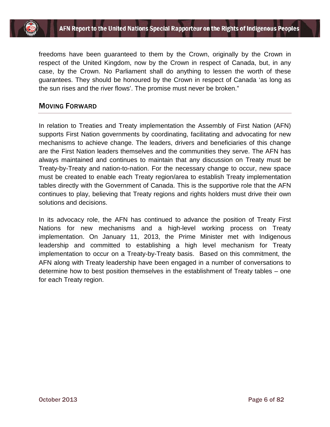

freedoms have been guaranteed to them by the Crown, originally by the Crown in respect of the United Kingdom, now by the Crown in respect of Canada, but, in any case, by the Crown. No Parliament shall do anything to lessen the worth of these guarantees. They should be honoured by the Crown in respect of Canada 'as long as the sun rises and the river flows'. The promise must never be broken."

#### MOVING FORWARD

In relation to Treaties and Treaty implementation the Assembly of First Nation (AFN) supports First Nation governments by coordinating, facilitating and advocating for new mechanisms to achieve change. The leaders, drivers and beneficiaries of this change are the First Nation leaders themselves and the communities they serve. The AFN has always maintained and continues to maintain that any discussion on Treaty must be Treaty-by-Treaty and nation-to-nation. For the necessary change to occur, new space must be created to enable each Treaty region/area to establish Treaty implementation tables directly with the Government of Canada. This is the supportive role that the AFN continues to play, believing that Treaty regions and rights holders must drive their own solutions and decisions.

In its advocacy role, the AFN has continued to advance the position of Treaty First Nations for new mechanisms and a high-level working process on Treaty implementation. On January 11, 2013, the Prime Minister met with Indigenous leadership and committed to establishing a high level mechanism for Treaty implementation to occur on a Treaty-by-Treaty basis. Based on this commitment, the AFN along with Treaty leadership have been engaged in a number of conversations to determine how to best position themselves in the establishment of Treaty tables – one for each Treaty region.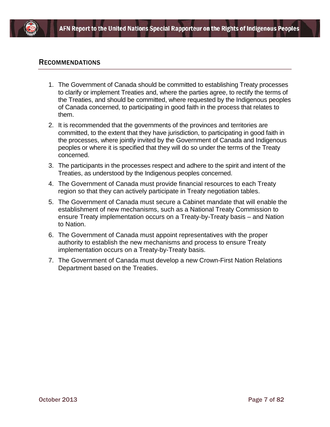

#### **RECOMMENDATIONS**

- 1. The Government of Canada should be committed to establishing Treaty processes to clarify or implement Treaties and, where the parties agree, to rectify the terms of the Treaties, and should be committed, where requested by the Indigenous peoples of Canada concerned, to participating in good faith in the process that relates to them.
- 2. It is recommended that the governments of the provinces and territories are committed, to the extent that they have jurisdiction, to participating in good faith in the processes, where jointly invited by the Government of Canada and Indigenous peoples or where it is specified that they will do so under the terms of the Treaty concerned.
- 3. The participants in the processes respect and adhere to the spirit and intent of the Treaties, as understood by the Indigenous peoples concerned.
- 4. The Government of Canada must provide financial resources to each Treaty region so that they can actively participate in Treaty negotiation tables.
- 5. The Government of Canada must secure a Cabinet mandate that will enable the establishment of new mechanisms, such as a National Treaty Commission to ensure Treaty implementation occurs on a Treaty-by-Treaty basis – and Nation to Nation.
- 6. The Government of Canada must appoint representatives with the proper authority to establish the new mechanisms and process to ensure Treaty implementation occurs on a Treaty-by-Treaty basis.
- 7. The Government of Canada must develop a new Crown-First Nation Relations Department based on the Treaties.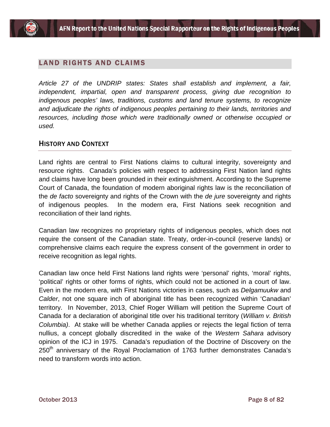## LAND RIGHTS AND CLAIMS

*Article 27 of the UNDRIP states: States shall establish and implement, a fair, independent, impartial, open and transparent process, giving due recognition to indigenous peoples' laws, traditions, customs and land tenure systems, to recognize and adjudicate the rights of indigenous peoples pertaining to their lands, territories and*  resources, including those which were traditionally owned or otherwise occupied or *used.*

#### HISTORY AND CONTEXT

Land rights are central to First Nations claims to cultural integrity, sovereignty and resource rights. Canada's policies with respect to addressing First Nation land rights and claims have long been grounded in their extinguishment. According to the Supreme Court of Canada, the foundation of modern aboriginal rights law is the reconciliation of the *de facto* sovereignty and rights of the Crown with the *de jure* sovereignty and rights of indigenous peoples. In the modern era, First Nations seek recognition and reconciliation of their land rights.

Canadian law recognizes no proprietary rights of indigenous peoples, which does not require the consent of the Canadian state. Treaty, order-in-council (reserve lands) or comprehensive claims each require the express consent of the government in order to receive recognition as legal rights.

Canadian law once held First Nations land rights were 'personal' rights, 'moral' rights, 'political' rights or other forms of rights, which could not be actioned in a court of law. Even in the modern era, with First Nations victories in cases, such as *Delgamuukw* and *Calder*, not one square inch of aboriginal title has been recognized within 'Canadian' territory. In November, 2013, Chief Roger William will petition the Supreme Court of Canada for a declaration of aboriginal title over his traditional territory (*William v. British Columbia)*. At stake will be whether Canada applies or rejects the legal fiction of terra nullius, a concept globally discredited in the wake of the *Western Sahara* advisory opinion of the ICJ in 1975. Canada's repudiation of the Doctrine of Discovery on the 250<sup>th</sup> anniversary of the Royal Proclamation of 1763 further demonstrates Canada's need to transform words into action.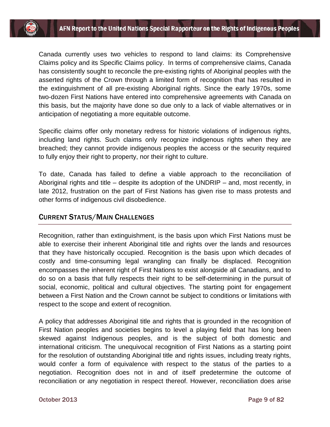Canada currently uses two vehicles to respond to land claims: its Comprehensive Claims policy and its Specific Claims policy. In terms of comprehensive claims, Canada has consistently sought to reconcile the pre-existing rights of Aboriginal peoples with the asserted rights of the Crown through a limited form of recognition that has resulted in the extinguishment of all pre-existing Aboriginal rights. Since the early 1970s, some two-dozen First Nations have entered into comprehensive agreements with Canada on this basis, but the majority have done so due only to a lack of viable alternatives or in anticipation of negotiating a more equitable outcome.

Specific claims offer only monetary redress for historic violations of indigenous rights, including land rights. Such claims only recognize indigenous rights when they are breached; they cannot provide indigenous peoples the access or the security required to fully enjoy their right to property, nor their right to culture.

To date, Canada has failed to define a viable approach to the reconciliation of Aboriginal rights and title – despite its adoption of the UNDRIP – and, most recently, in late 2012, frustration on the part of First Nations has given rise to mass protests and other forms of indigenous civil disobedience.

## CURRENT STATUS/MAIN CHALLENGES

Recognition, rather than extinguishment, is the basis upon which First Nations must be able to exercise their inherent Aboriginal title and rights over the lands and resources that they have historically occupied. Recognition is the basis upon which decades of costly and time-consuming legal wrangling can finally be displaced. Recognition encompasses the inherent right of First Nations to exist alongside all Canadians, and to do so on a basis that fully respects their right to be self-determining in the pursuit of social, economic, political and cultural objectives. The starting point for engagement between a First Nation and the Crown cannot be subject to conditions or limitations with respect to the scope and extent of recognition.

A policy that addresses Aboriginal title and rights that is grounded in the recognition of First Nation peoples and societies begins to level a playing field that has long been skewed against Indigenous peoples, and is the subject of both domestic and international criticism. The unequivocal recognition of First Nations as a starting point for the resolution of outstanding Aboriginal title and rights issues, including treaty rights, would confer a form of equivalence with respect to the status of the parties to a negotiation. Recognition does not in and of itself predetermine the outcome of reconciliation or any negotiation in respect thereof. However, reconciliation does arise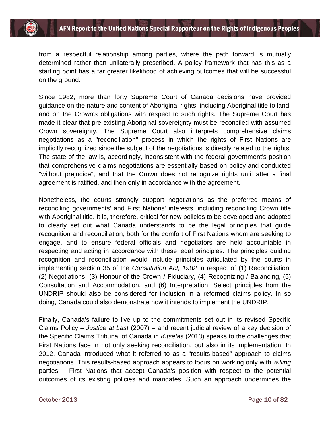

from a respectful relationship among parties, where the path forward is mutually determined rather than unilaterally prescribed. A policy framework that has this as a starting point has a far greater likelihood of achieving outcomes that will be successful on the ground.

Since 1982, more than forty Supreme Court of Canada decisions have provided guidance on the nature and content of Aboriginal rights, including Aboriginal title to land, and on the Crown's obligations with respect to such rights. The Supreme Court has made it clear that pre-existing Aboriginal sovereignty must be reconciled with assumed Crown sovereignty. The Supreme Court also interprets comprehensive claims negotiations as a "reconciliation" process in which the rights of First Nations are implicitly recognized since the subject of the negotiations is directly related to the rights. The state of the law is, accordingly, inconsistent with the federal government's position that comprehensive claims negotiations are essentially based on policy and conducted "without prejudice", and that the Crown does not recognize rights until after a final agreement is ratified, and then only in accordance with the agreement.

Nonetheless, the courts strongly support negotiations as the preferred means of reconciling governments' and First Nations' interests, including reconciling Crown title with Aboriginal title. It is, therefore, critical for new policies to be developed and adopted to clearly set out what Canada understands to be the legal principles that guide recognition and reconciliation; both for the comfort of First Nations whom are seeking to engage, and to ensure federal officials and negotiators are held accountable in respecting and acting in accordance with these legal principles. The principles guiding recognition and reconciliation would include principles articulated by the courts in implementing section 35 of the *Constitution Act, 1982* in respect of (1) Reconciliation, (2) Negotiations, (3) Honour of the Crown / Fiduciary, (4) Recognizing / Balancing, (5) Consultation and Accommodation, and (6) Interpretation. Select principles from the UNDRIP should also be considered for inclusion in a reformed claims policy. In so doing, Canada could also demonstrate how it intends to implement the UNDRIP.

Finally, Canada's failure to live up to the commitments set out in its revised Specific Claims Policy – *Justice at Last* (2007) – and recent judicial review of a key decision of the Specific Claims Tribunal of Canada in *Kitselas* (2013) speaks to the challenges that First Nations face in not only seeking reconciliation, but also in its implementation. In 2012, Canada introduced what it referred to as a "results-based" approach to claims negotiations. This results-based approach appears to focus on working only with *willing* parties – First Nations that accept Canada's position with respect to the potential outcomes of its existing policies and mandates. Such an approach undermines the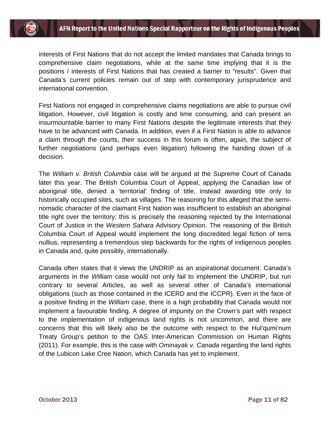interests of First Nations that do not accept the limited mandates that Canada brings to comprehensive claim negotiations, while at the same time implying that it is the positions / interests of First Nations that has created a barrier to "results". Given that Canada's current policies remain out of step with contemporary jurisprudence and international convention.

First Nations not engaged in comprehensive claims negotiations are able to pursue civil litigation. However, civil litigation is costly and time consuming, and can present an insurmountable barrier to many First Nations despite the legitimate interests that they have to be advanced with Canada. In addition, even if a First Nation is able to advance a claim through the courts, their success in this forum is often, again, the subject of further negotiations (and perhaps even litigation) following the handing down of a decision.

The *William v. British Columbia* case will be argued at the Supreme Court of Canada later this year. The British Columbia Court of Appeal, applying the Canadian law of aboriginal title, denied a 'territorial' finding of title, instead awarding title only to historically occupied sites, such as villages. The reasoning for this alleged that the seminomadic character of the claimant First Nation was insufficient to establish an aboriginal title right over the territory; this is precisely the reasoning rejected by the International Court of Justice in the *Western Sahara* Advisory Opinion. The reasoning of the British Columbia Court of Appeal would implement the long discredited legal fiction of terra nullius, representing a tremendous step backwards for the rights of indigenous peoples in Canada and, quite possibly, internationally.

Canada often states that it views the UNDRIP as an aspirational document. Canada's arguments in the *William* case would not only fail to implement the UNDRIP, but run contrary to several Articles, as well as several other of Canada's international obligations (such as those contained in the ICERD and the ICCPR). Even in the face of a positive finding in the *William* case, there is a high probability that Canada would not implement a favourable finding. A degree of impunity on the Crown's part with respect to the implementation of indigenous land rights is not uncommon, and there are concerns that this will likely also be the outcome with respect to the Hul'qumi'num Treaty Group's petition to the OAS Inter-American Commission on Human Rights (2011). For example, this is the case with *Ominayak v. Canada* regarding the land rights of the Lubicon Lake Cree Nation, which Canada has yet to implement.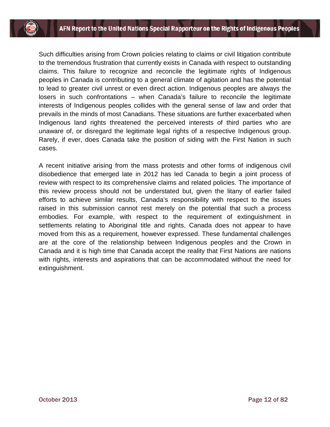Such difficulties arising from Crown policies relating to claims or civil litigation contribute to the tremendous frustration that currently exists in Canada with respect to outstanding claims. This failure to recognize and reconcile the legitimate rights of Indigenous peoples in Canada is contributing to a general climate of agitation and has the potential to lead to greater civil unrest or even direct action. Indigenous peoples are always the losers in such confrontations – when Canada's failure to reconcile the legitimate interests of Indigenous peoples collides with the general sense of law and order that prevails in the minds of most Canadians. These situations are further exacerbated when Indigenous land rights threatened the perceived interests of third parties who are unaware of, or disregard the legitimate legal rights of a respective Indigenous group. Rarely, if ever, does Canada take the position of siding with the First Nation in such cases.

A recent initiative arising from the mass protests and other forms of indigenous civil disobedience that emerged late in 2012 has led Canada to begin a joint process of review with respect to its comprehensive claims and related policies. The importance of this review process should not be understated but, given the litany of earlier failed efforts to achieve similar results, Canada's responsibility with respect to the issues raised in this submission cannot rest merely on the potential that such a process embodies. For example, with respect to the requirement of extinguishment in settlements relating to Aboriginal title and rights, Canada does not appear to have moved from this as a requirement, however expressed. These fundamental challenges are at the core of the relationship between Indigenous peoples and the Crown in Canada and it is high time that Canada accept the reality that First Nations are nations with rights, interests and aspirations that can be accommodated without the need for extinguishment.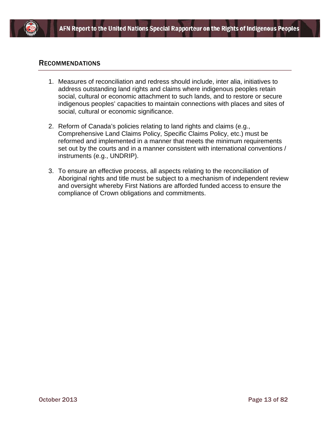

#### RECOMMENDATIONS

- 1. Measures of reconciliation and redress should include, inter alia, initiatives to address outstanding land rights and claims where indigenous peoples retain social, cultural or economic attachment to such lands, and to restore or secure indigenous peoples' capacities to maintain connections with places and sites of social, cultural or economic significance.
- 2. Reform of Canada's policies relating to land rights and claims (e.g., Comprehensive Land Claims Policy, Specific Claims Policy, etc.) must be reformed and implemented in a manner that meets the minimum requirements set out by the courts and in a manner consistent with international conventions / instruments (e.g., UNDRIP).
- 3. To ensure an effective process, all aspects relating to the reconciliation of Aboriginal rights and title must be subject to a mechanism of independent review and oversight whereby First Nations are afforded funded access to ensure the compliance of Crown obligations and commitments.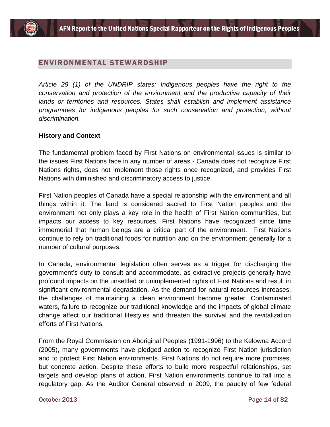## ENVIRONMENTAL STEWARDSHIP

*Article 29 (1) of the UNDRIP states: Indigenous peoples have the right to the conservation and protection of the environment and the productive capacity of their lands or territories and resources. States shall establish and implement assistance programmes for indigenous peoples for such conservation and protection, without discrimination.*

#### **History and Context**

The fundamental problem faced by First Nations on environmental issues is similar to the issues First Nations face in any number of areas - Canada does not recognize First Nations rights, does not implement those rights once recognized, and provides First Nations with diminished and discriminatory access to justice.

First Nation peoples of Canada have a special relationship with the environment and all things within it. The land is considered sacred to First Nation peoples and the environment not only plays a key role in the health of First Nation communities, but impacts our access to key resources. First Nations have recognized since time immemorial that human beings are a critical part of the environment. First Nations continue to rely on traditional foods for nutrition and on the environment generally for a number of cultural purposes.

In Canada, environmental legislation often serves as a trigger for discharging the government's duty to consult and accommodate, as extractive projects generally have profound impacts on the unsettled or unimplemented rights of First Nations and result in significant environmental degradation. As the demand for natural resources increases, the challenges of maintaining a clean environment become greater. Contaminated waters, failure to recognize our traditional knowledge and the impacts of global climate change affect our traditional lifestyles and threaten the survival and the revitalization efforts of First Nations.

From the Royal Commission on Aboriginal Peoples (1991-1996) to the Kelowna Accord (2005), many governments have pledged action to recognize First Nation jurisdiction and to protect First Nation environments. First Nations do not require more promises, but concrete action. Despite these efforts to build more respectful relationships, set targets and develop plans of action, First Nation environments continue to fall into a regulatory gap. As the Auditor General observed in 2009, the paucity of few federal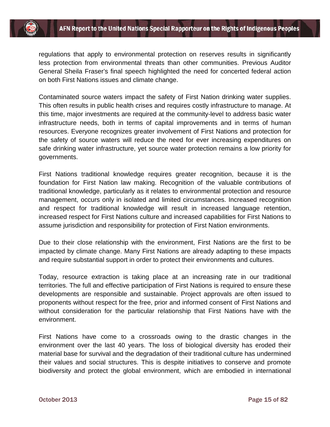

regulations that apply to environmental protection on reserves results in significantly less protection from environmental threats than other communities. Previous Auditor General Sheila Fraser's final speech highlighted the need for concerted federal action on both First Nations issues and climate change.

Contaminated source waters impact the safety of First Nation drinking water supplies. This often results in public health crises and requires costly infrastructure to manage. At this time, major investments are required at the community-level to address basic water infrastructure needs, both in terms of capital improvements and in terms of human resources. Everyone recognizes greater involvement of First Nations and protection for the safety of source waters will reduce the need for ever increasing expenditures on safe drinking water infrastructure, yet source water protection remains a low priority for governments.

First Nations traditional knowledge requires greater recognition, because it is the foundation for First Nation law making. Recognition of the valuable contributions of traditional knowledge, particularly as it relates to environmental protection and resource management, occurs only in isolated and limited circumstances. Increased recognition and respect for traditional knowledge will result in increased language retention, increased respect for First Nations culture and increased capabilities for First Nations to assume jurisdiction and responsibility for protection of First Nation environments.

Due to their close relationship with the environment, First Nations are the first to be impacted by climate change. Many First Nations are already adapting to these impacts and require substantial support in order to protect their environments and cultures.

Today, resource extraction is taking place at an increasing rate in our traditional territories. The full and effective participation of First Nations is required to ensure these developments are responsible and sustainable. Project approvals are often issued to proponents without respect for the free, prior and informed consent of First Nations and without consideration for the particular relationship that First Nations have with the environment.

First Nations have come to a crossroads owing to the drastic changes in the environment over the last 40 years. The loss of biological diversity has eroded their material base for survival and the degradation of their traditional culture has undermined their values and social structures. This is despite initiatives to conserve and promote biodiversity and protect the global environment, which are embodied in international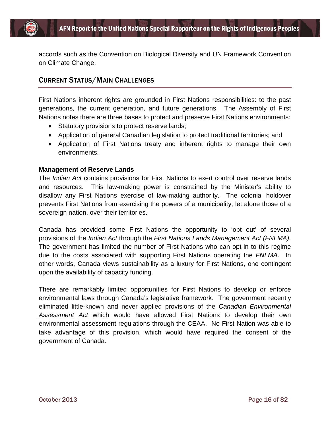

accords such as the Convention on Biological Diversity and UN Framework Convention on Climate Change.

## CURRENT STATUS/MAIN CHALLENGES

First Nations inherent rights are grounded in First Nations responsibilities: to the past generations, the current generation, and future generations. The Assembly of First Nations notes there are three bases to protect and preserve First Nations environments:

- Statutory provisions to protect reserve lands;
- Application of general Canadian legislation to protect traditional territories; and
- Application of First Nations treaty and inherent rights to manage their own environments.

#### **Management of Reserve Lands**

The *Indian Act* contains provisions for First Nations to exert control over reserve lands and resources. This law-making power is constrained by the Minister's ability to disallow any First Nations exercise of law-making authority. The colonial holdover prevents First Nations from exercising the powers of a municipality, let alone those of a sovereign nation, over their territories.

Canada has provided some First Nations the opportunity to 'opt out' of several provisions of the *Indian Act* through the *First Nations Lands Management Act (FNLMA)*. The government has limited the number of First Nations who can opt-in to this regime due to the costs associated with supporting First Nations operating the *FNLMA*. In other words, Canada views sustainability as a luxury for First Nations, one contingent upon the availability of capacity funding.

There are remarkably limited opportunities for First Nations to develop or enforce environmental laws through Canada's legislative framework. The government recently eliminated little-known and never applied provisions of the *Canadian Environmental Assessment Act* which would have allowed First Nations to develop their own environmental assessment regulations through the CEAA. No First Nation was able to take advantage of this provision, which would have required the consent of the government of Canada.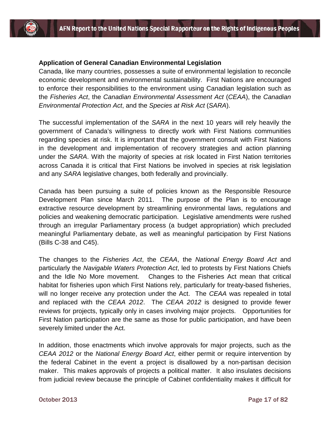#### **Application of General Canadian Environmental Legislation**

Canada, like many countries, possesses a suite of environmental legislation to reconcile economic development and environmental sustainability. First Nations are encouraged to enforce their responsibilities to the environment using Canadian legislation such as the *Fisheries Act*, the *Canadian Environmental Assessment Act* (*CEAA*), the *Canadian Environmental Protection Act*, and the *Species at Risk Act* (*SARA*).

The successful implementation of the *SARA* in the next 10 years will rely heavily the government of Canada's willingness to directly work with First Nations communities regarding species at risk. It is important that the government consult with First Nations in the development and implementation of recovery strategies and action planning under the *SARA*. With the majority of species at risk located in First Nation territories across Canada it is critical that First Nations be involved in species at risk legislation and any *SARA* legislative changes, both federally and provincially.

Canada has been pursuing a suite of policies known as the Responsible Resource Development Plan since March 2011. The purpose of the Plan is to encourage extractive resource development by streamlining environmental laws, regulations and policies and weakening democratic participation. Legislative amendments were rushed through an irregular Parliamentary process (a budget appropriation) which precluded meaningful Parliamentary debate, as well as meaningful participation by First Nations (Bills C-38 and C45).

The changes to the *Fisheries Act*, the *CEAA*, the *National Energy Board Act* and particularly the *Navigable Waters Protection Act*, led to protests by First Nations Chiefs and the Idle No More movement. Changes to the Fisheries Act mean that critical habitat for fisheries upon which First Nations rely, particularly for treaty-based fisheries, will no longer receive any protection under the Act. The *CEAA* was repealed in total and replaced with the *CEAA 2012*. The *CEAA 2012* is designed to provide fewer reviews for projects, typically only in cases involving major projects. Opportunities for First Nation participation are the same as those for public participation, and have been severely limited under the Act.

In addition, those enactments which involve approvals for major projects, such as the *CEAA 2012* or the *National Energy Board Act*, either permit or require intervention by the federal Cabinet in the event a project is disallowed by a non-partisan decision maker. This makes approvals of projects a political matter. It also insulates decisions from judicial review because the principle of Cabinet confidentiality makes it difficult for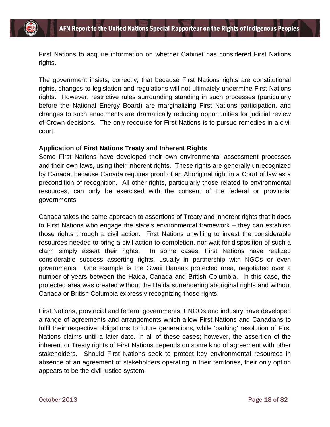First Nations to acquire information on whether Cabinet has considered First Nations rights.

The government insists, correctly, that because First Nations rights are constitutional rights, changes to legislation and regulations will not ultimately undermine First Nations rights. However, restrictive rules surrounding standing in such processes (particularly before the National Energy Board) are marginalizing First Nations participation, and changes to such enactments are dramatically reducing opportunities for judicial review of Crown decisions. The only recourse for First Nations is to pursue remedies in a civil court.

#### **Application of First Nations Treaty and Inherent Rights**

Some First Nations have developed their own environmental assessment processes and their own laws, using their inherent rights. These rights are generally unrecognized by Canada, because Canada requires proof of an Aboriginal right in a Court of law as a precondition of recognition. All other rights, particularly those related to environmental resources, can only be exercised with the consent of the federal or provincial governments.

Canada takes the same approach to assertions of Treaty and inherent rights that it does to First Nations who engage the state's environmental framework – they can establish those rights through a civil action. First Nations unwilling to invest the considerable resources needed to bring a civil action to completion, nor wait for disposition of such a claim simply assert their rights. In some cases, First Nations have realized considerable success asserting rights, usually in partnership with NGOs or even governments. One example is the Gwaii Hanaas protected area, negotiated over a number of years between the Haida, Canada and British Columbia. In this case, the protected area was created without the Haida surrendering aboriginal rights and without Canada or British Columbia expressly recognizing those rights.

First Nations, provincial and federal governments, ENGOs and industry have developed a range of agreements and arrangements which allow First Nations and Canadians to fulfil their respective obligations to future generations, while 'parking' resolution of First Nations claims until a later date. In all of these cases; however, the assertion of the inherent or Treaty rights of First Nations depends on some kind of agreement with other stakeholders. Should First Nations seek to protect key environmental resources in absence of an agreement of stakeholders operating in their territories, their only option appears to be the civil justice system.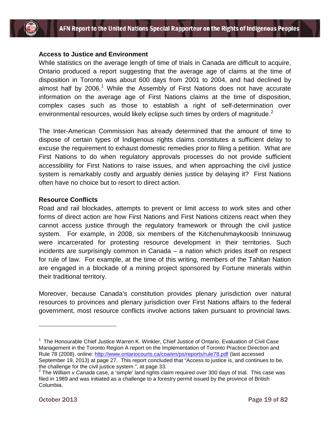

#### **Access to Justice and Environment**

While statistics on the average length of time of trials in Canada are difficult to acquire, Ontario produced a report suggesting that the average age of claims at the time of disposition in Toronto was about 600 days from 2001 to 2004, and had declined by almost half by  $2006.<sup>1</sup>$  $2006.<sup>1</sup>$  $2006.<sup>1</sup>$  While the Assembly of First Nations does not have accurate information on the average age of First Nations claims at the time of disposition, complex cases such as those to establish a right of self-determination over environmental resources, would likely eclipse such times by orders of magnitude.<sup>[2](#page-19-1)</sup>

The Inter-American Commission has already determined that the amount of time to dispose of certain types of Indigenous rights claims constitutes a sufficient delay to excuse the requirement to exhaust domestic remedies prior to filing a petition. What are First Nations to do when regulatory approvals processes do not provide sufficient accessibility for First Nations to raise issues, and when approaching the civil justice system is remarkably costly and arguably denies justice by delaying it? First Nations often have no choice but to resort to direct action.

#### **Resource Conflicts**

Road and rail blockades, attempts to prevent or limit access to work sites and other forms of direct action are how First Nations and First Nations citizens react when they cannot access justice through the regulatory framework or through the civil justice system. For example, in 2008, six members of the Kitchenuhmaykoosib Inninuwug were incarcerated for protesting resource development in their territories. Such incidents are surprisingly common in Canada – a nation which prides itself on respect for rule of law. For example, at the time of this writing, members of the Tahltan Nation are engaged in a blockade of a mining project sponsored by Fortune minerals within their traditional territory.

Moreover, because Canada's constitution provides plenary jurisdiction over natural resources to provinces and plenary jurisdiction over First Nations affairs to the federal government, most resource conflicts involve actions taken pursuant to provincial laws.

the challenge for the civil justice system.", at page 33. <sup>2</sup> The *William v Canada* case, a 'simple' land rights claim required over 300 days of trial. This case was

<span id="page-19-1"></span>filed in 1989 and was initiated as a challenge to a forestry permit issued by the province of British Columbia.

 $\overline{a}$ 

<span id="page-19-0"></span><sup>&</sup>lt;sup>1</sup> The Honourable Chief Justice Warren K. Winkler, Chief Justice of Ontario, Evaluation of Civil Case Management in the Toronto Region A report on the Implementation of Toronto Practice Direction and Rule 78 (2008), online:<http://www.ontariocourts.ca/coa/en/ps/reports/rule78.pdf> (last accessed September 19, 2013) at page 27. This report concluded that "Access to justice is, and continues to be,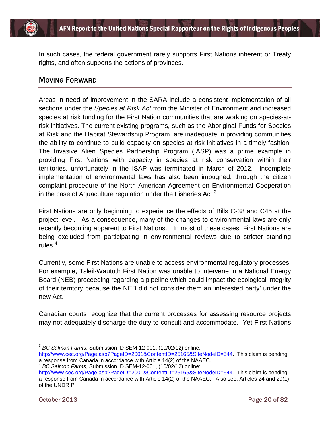

In such cases, the federal government rarely supports First Nations inherent or Treaty rights, and often supports the actions of provinces.

## MOVING FORWARD

Areas in need of improvement in the SARA include a consistent implementation of all sections under the *Species at Risk Act* from the Minister of Environment and increased species at risk funding for the First Nation communities that are working on species-atrisk initiatives. The current existing programs, such as the Aboriginal Funds for Species at Risk and the Habitat Stewardship Program, are inadequate in providing communities the ability to continue to build capacity on species at risk initiatives in a timely fashion. The Invasive Alien Species Partnership Program (IASP) was a prime example in providing First Nations with capacity in species at risk conservation within their territories, unfortunately in the ISAP was terminated in March of 2012. Incomplete implementation of environmental laws has also been impugned, through the citizen complaint procedure of the North American Agreement on Environmental Cooperation in the case of Aquaculture regulation under the Fisheries Act. $3$ 

First Nations are only beginning to experience the effects of Bills C-38 and C45 at the project level. As a consequence, many of the changes to environmental laws are only recently becoming apparent to First Nations. In most of these cases, First Nations are being excluded from participating in environmental reviews due to stricter standing rules. $4$ 

Currently, some First Nations are unable to access environmental regulatory processes. For example, Tsleil-Waututh First Nation was unable to intervene in a National Energy Board (NEB) proceeding regarding a pipeline which could impact the ecological integrity of their territory because the NEB did not consider them an 'interested party' under the new Act.

Canadian courts recognize that the current processes for assessing resource projects may not adequately discharge the duty to consult and accommodate. Yet First Nations

 $\overline{a}$ 

<span id="page-20-0"></span><sup>3</sup> *BC Salmon Farms*, Submission ID SEM-12-001, (10/02/12) online:

[http://www.cec.org/Page.asp?PageID=2001&ContentID=25165&SiteNodeID=544.](http://www.cec.org/Page.asp?PageID=2001&ContentID=25165&SiteNodeID=544) This claim is pending a response from Canada in accordance with Article 14(2) of the NAAEC.

<span id="page-20-1"></span><sup>4</sup> *BC Salmon Farms*, Submission ID SEM-12-001, (10/02/12) online:

[http://www.cec.org/Page.asp?PageID=2001&ContentID=25165&SiteNodeID=544.](http://www.cec.org/Page.asp?PageID=2001&ContentID=25165&SiteNodeID=544) This claim is pending a response from Canada in accordance with Article 14(2) of the NAAEC. Also see, Articles 24 and 29(1) of the UNDRIP.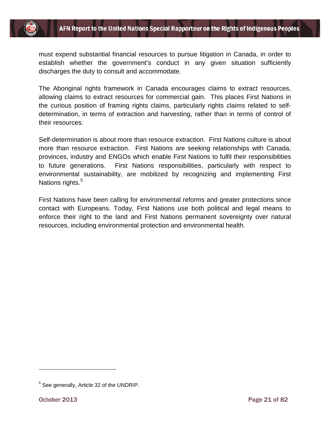

must expend substantial financial resources to pursue litigation in Canada, in order to establish whether the government's conduct in any given situation sufficiently discharges the duty to consult and accommodate.

The Aboriginal rights framework in Canada encourages claims to extract resources, allowing claims to extract resources for commercial gain. This places First Nations in the curious position of framing rights claims, particularly rights claims related to selfdetermination, in terms of extraction and harvesting, rather than in terms of control of their resources.

Self-determination is about more than resource extraction. First Nations culture is about more than resource extraction. First Nations are seeking relationships with Canada, provinces, industry and ENGOs which enable First Nations to fulfil their responsibilities to future generations. First Nations responsibilities, particularly with respect to environmental sustainability, are mobilized by recognizing and implementing First Nations rights.<sup>[5](#page-21-0)</sup>

First Nations have been calling for environmental reforms and greater protections since contact with Europeans. Today, First Nations use both political and legal means to enforce their right to the land and First Nations permanent sovereignty over natural resources, including environmental protection and environmental health.

 $\overline{a}$ 

<span id="page-21-0"></span> $5$  See generally, Article 32 of the UNDRIP.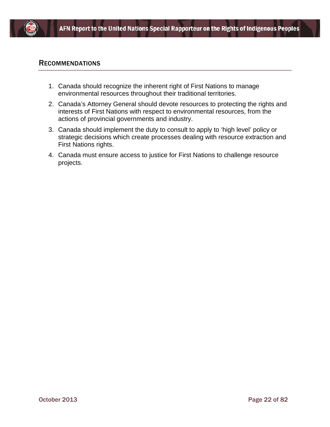

#### RECOMMENDATIONS

- 1. Canada should recognize the inherent right of First Nations to manage environmental resources throughout their traditional territories.
- 2. Canada's Attorney General should devote resources to protecting the rights and interests of First Nations with respect to environmental resources, from the actions of provincial governments and industry.
- 3. Canada should implement the duty to consult to apply to 'high level' policy or strategic decisions which create processes dealing with resource extraction and First Nations rights.
- 4. Canada must ensure access to justice for First Nations to challenge resource projects.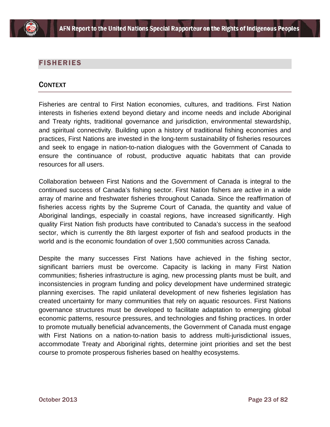

## FISHERIES

## **CONTEXT**

Fisheries are central to First Nation economies, cultures, and traditions. First Nation interests in fisheries extend beyond dietary and income needs and include Aboriginal and Treaty rights, traditional governance and jurisdiction, environmental stewardship, and spiritual connectivity. Building upon a history of traditional fishing economies and practices, First Nations are invested in the long-term sustainability of fisheries resources and seek to engage in nation-to-nation dialogues with the Government of Canada to ensure the continuance of robust, productive aquatic habitats that can provide resources for all users.

Collaboration between First Nations and the Government of Canada is integral to the continued success of Canada's fishing sector. First Nation fishers are active in a wide array of marine and freshwater fisheries throughout Canada. Since the reaffirmation of fisheries access rights by the Supreme Court of Canada, the quantity and value of Aboriginal landings, especially in coastal regions, have increased significantly. High quality First Nation fish products have contributed to Canada's success in the seafood sector, which is currently the 8th largest exporter of fish and seafood products in the world and is the economic foundation of over 1,500 communities across Canada.

Despite the many successes First Nations have achieved in the fishing sector, significant barriers must be overcome. Capacity is lacking in many First Nation communities; fisheries infrastructure is aging, new processing plants must be built, and inconsistencies in program funding and policy development have undermined strategic planning exercises. The rapid unilateral development of new fisheries legislation has created uncertainty for many communities that rely on aquatic resources. First Nations governance structures must be developed to facilitate adaptation to emerging global economic patterns, resource pressures, and technologies and fishing practices. In order to promote mutually beneficial advancements, the Government of Canada must engage with First Nations on a nation-to-nation basis to address multi-jurisdictional issues, accommodate Treaty and Aboriginal rights, determine joint priorities and set the best course to promote prosperous fisheries based on healthy ecosystems.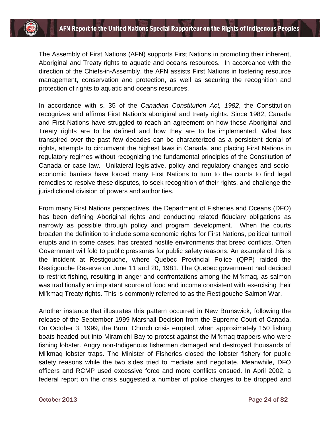The Assembly of First Nations (AFN) supports First Nations in promoting their inherent, Aboriginal and Treaty rights to aquatic and oceans resources. In accordance with the direction of the Chiefs-in-Assembly, the AFN assists First Nations in fostering resource management, conservation and protection, as well as securing the recognition and protection of rights to aquatic and oceans resources.

In accordance with s. 35 of the *Canadian Constitution Act, 1982*, the Constitution recognizes and affirms First Nation's aboriginal and treaty rights. Since 1982, Canada and First Nations have struggled to reach an agreement on how those Aboriginal and Treaty rights are to be defined and how they are to be implemented. What has transpired over the past few decades can be characterized as a persistent denial of rights, attempts to circumvent the highest laws in Canada, and placing First Nations in regulatory regimes without recognizing the fundamental principles of the Constitution of Canada or case law. Unilateral legislative, policy and regulatory changes and socioeconomic barriers have forced many First Nations to turn to the courts to find legal remedies to resolve these disputes, to seek recognition of their rights, and challenge the jurisdictional division of powers and authorities.

From many First Nations perspectives, the Department of Fisheries and Oceans (DFO) has been defining Aboriginal rights and conducting related fiduciary obligations as narrowly as possible through policy and program development. When the courts broaden the definition to include some economic rights for First Nations, political turmoil erupts and in some cases, has created hostile environments that breed conflicts. Often Government will fold to public pressures for public safety reasons. An example of this is the incident at Restigouche, where Quebec Provincial Police (QPP) raided the Restigouche Reserve on June 11 and 20, 1981. The Quebec government had decided to restrict fishing, resulting in anger and confrontations among the Mi'kmaq, as salmon was traditionally an important source of food and income consistent with exercising their Mi'kmaq Treaty rights. This is commonly referred to as the Restigouche Salmon War.

Another instance that illustrates this pattern occurred in New Brunswick, following the release of the September 1999 Marshall Decision from the Supreme Court of Canada. On October 3, 1999, the Burnt Church crisis erupted, when approximately 150 fishing boats headed out into Miramichi Bay to protest against the Mi'kmaq trappers who were fishing lobster. Angry non-Indigenous fishermen damaged and destroyed thousands of Mi'kmaq lobster traps. The Minister of Fisheries closed the lobster fishery for public safety reasons while the two sides tried to mediate and negotiate. Meanwhile, DFO officers and RCMP used excessive force and more conflicts ensued. In April 2002, a federal report on the crisis suggested a number of police charges to be dropped and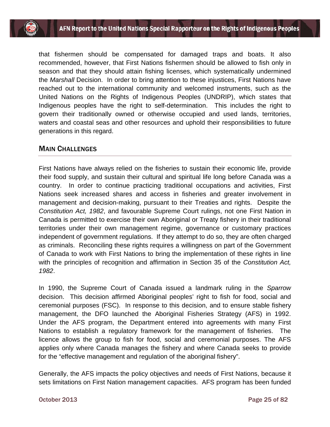

that fishermen should be compensated for damaged traps and boats. It also recommended, however, that First Nations fishermen should be allowed to fish only in season and that they should attain fishing licenses, which systematically undermined the *Marshall* Decision. In order to bring attention to these injustices, First Nations have reached out to the international community and welcomed instruments, such as the United Nations on the Rights of Indigenous Peoples (UNDRIP), which states that Indigenous peoples have the right to self-determination. This includes the right to govern their traditionally owned or otherwise occupied and used lands, territories, waters and coastal seas and other resources and uphold their responsibilities to future generations in this regard.

#### MAIN CHALLENGES

First Nations have always relied on the fisheries to sustain their economic life, provide their food supply, and sustain their cultural and spiritual life long before Canada was a country. In order to continue practicing traditional occupations and activities, First Nations seek increased shares and access in fisheries and greater involvement in management and decision-making, pursuant to their Treaties and rights. Despite the *Constitution Act, 1982*, and favourable Supreme Court rulings, not one First Nation in Canada is permitted to exercise their own Aboriginal or Treaty fishery in their traditional territories under their own management regime, governance or customary practices independent of government regulations. If they attempt to do so, they are often charged as criminals. Reconciling these rights requires a willingness on part of the Government of Canada to work with First Nations to bring the implementation of these rights in line with the principles of recognition and affirmation in Section 35 of the *Constitution Act, 1982*.

In 1990, the Supreme Court of Canada issued a landmark ruling in the *Sparrow*  decision. This decision affirmed Aboriginal peoples' right to fish for food, social and ceremonial purposes (FSC). In response to this decision, and to ensure stable fishery management, the DFO launched the Aboriginal Fisheries Strategy (AFS) in 1992. Under the AFS program, the Department entered into agreements with many First Nations to establish a regulatory framework for the management of fisheries. The licence allows the group to fish for food, social and ceremonial purposes. The AFS applies only where Canada manages the fishery and where Canada seeks to provide for the "effective management and regulation of the aboriginal fishery".

Generally, the AFS impacts the policy objectives and needs of First Nations, because it sets limitations on First Nation management capacities. AFS program has been funded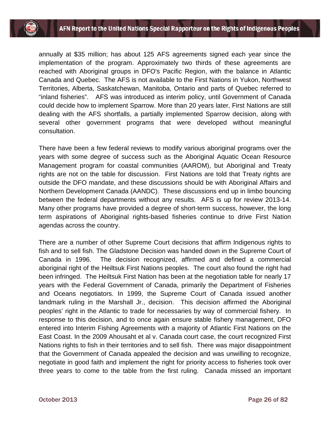annually at \$35 million; has about 125 AFS agreements signed each year since the implementation of the program. Approximately two thirds of these agreements are reached with Aboriginal groups in DFO's Pacific Region, with the balance in Atlantic Canada and Quebec. The AFS is not available to the First Nations in Yukon, Northwest Territories, Alberta, Saskatchewan, Manitoba, Ontario and parts of Quebec referred to "inland fisheries". AFS was introduced as interim policy, until Government of Canada could decide how to implement Sparrow. More than 20 years later, First Nations are still dealing with the AFS shortfalls, a partially implemented Sparrow decision, along with several other government programs that were developed without meaningful consultation.

There have been a few federal reviews to modify various aboriginal programs over the years with some degree of success such as the Aboriginal Aquatic Ocean Resource Management program for coastal communities (AAROM), but Aboriginal and Treaty rights are not on the table for discussion. First Nations are told that Treaty rights are outside the DFO mandate, and these discussions should be with Aboriginal Affairs and Northern Development Canada (AANDC). These discussions end up in limbo bouncing between the federal departments without any results. AFS is up for review 2013-14. Many other programs have provided a degree of short-term success, however, the long term aspirations of Aboriginal rights-based fisheries continue to drive First Nation agendas across the country.

There are a number of other Supreme Court decisions that affirm Indigenous rights to fish and to sell fish. The Gladstone Decision was handed down in the Supreme Court of Canada in 1996. The decision recognized, affirmed and defined a commercial aboriginal right of the Heiltsuk First Nations peoples. The court also found the right had been infringed. The Heiltsuk First Nation has been at the negotiation table for nearly 17 years with the Federal Government of Canada, primarily the Department of Fisheries and Oceans negotiators. In 1999, the Supreme Court of Canada issued another landmark ruling in the Marshall Jr., decision. This decision affirmed the Aboriginal peoples' right in the Atlantic to trade for necessaries by way of commercial fishery. In response to this decision, and to once again ensure stable fishery management, DFO entered into Interim Fishing Agreements with a majority of Atlantic First Nations on the East Coast. In the 2009 Ahousaht et al v. Canada court case, the court recognized First Nations rights to fish in their territories and to sell fish. There was major disappointment that the Government of Canada appealed the decision and was unwilling to recognize, negotiate in good faith and implement the right for priority access to fisheries took over three years to come to the table from the first ruling. Canada missed an important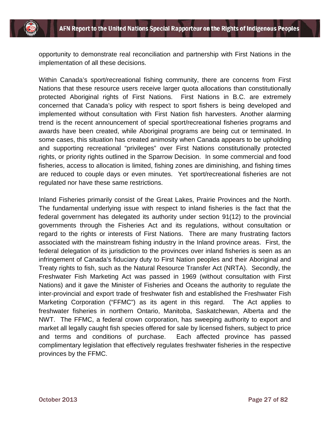opportunity to demonstrate real reconciliation and partnership with First Nations in the implementation of all these decisions.

Within Canada's sport/recreational fishing community, there are concerns from First Nations that these resource users receive larger quota allocations than constitutionally protected Aboriginal rights of First Nations. First Nations in B.C. are extremely concerned that Canada's policy with respect to sport fishers is being developed and implemented without consultation with First Nation fish harvesters. Another alarming trend is the recent announcement of special sport/recreational fisheries programs and awards have been created, while Aboriginal programs are being cut or terminated. In some cases, this situation has created animosity when Canada appears to be upholding and supporting recreational "privileges" over First Nations constitutionally protected rights, or priority rights outlined in the Sparrow Decision. In some commercial and food fisheries, access to allocation is limited, fishing zones are diminishing, and fishing times are reduced to couple days or even minutes. Yet sport/recreational fisheries are not regulated nor have these same restrictions.

Inland Fisheries primarily consist of the Great Lakes, Prairie Provinces and the North. The fundamental underlying issue with respect to inland fisheries is the fact that the federal government has delegated its authority under section 91(12) to the provincial governments through the Fisheries Act and its regulations, without consultation or regard to the rights or interests of First Nations. There are many frustrating factors associated with the mainstream fishing industry in the Inland province areas. First, the federal delegation of its jurisdiction to the provinces over inland fisheries is seen as an infringement of Canada's fiduciary duty to First Nation peoples and their Aboriginal and Treaty rights to fish, such as the Natural Resource Transfer Act (NRTA). Secondly, the Freshwater Fish Marketing Act was passed in 1969 (without consultation with First Nations) and it gave the Minister of Fisheries and Oceans the authority to regulate the inter-provincial and export trade of freshwater fish and established the Freshwater Fish Marketing Corporation ("FFMC") as its agent in this regard. The Act applies to freshwater fisheries in northern Ontario, Manitoba, Saskatchewan, Alberta and the NWT. The FFMC, a federal crown corporation, has sweeping authority to export and market all legally caught fish species offered for sale by licensed fishers, subject to price and terms and conditions of purchase. Each affected province has passed complimentary legislation that effectively regulates freshwater fisheries in the respective provinces by the FFMC.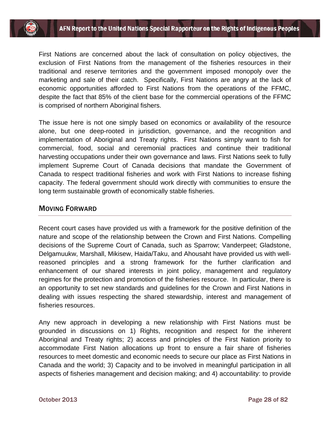First Nations are concerned about the lack of consultation on policy objectives, the exclusion of First Nations from the management of the fisheries resources in their traditional and reserve territories and the government imposed monopoly over the marketing and sale of their catch. Specifically, First Nations are angry at the lack of economic opportunities afforded to First Nations from the operations of the FFMC, despite the fact that 85% of the client base for the commercial operations of the FFMC is comprised of northern Aboriginal fishers.

The issue here is not one simply based on economics or availability of the resource alone, but one deep-rooted in jurisdiction, governance, and the recognition and implementation of Aboriginal and Treaty rights. First Nations simply want to fish for commercial, food, social and ceremonial practices and continue their traditional harvesting occupations under their own governance and laws. First Nations seek to fully implement Supreme Court of Canada decisions that mandate the Government of Canada to respect traditional fisheries and work with First Nations to increase fishing capacity. The federal government should work directly with communities to ensure the long term sustainable growth of economically stable fisheries.

## MOVING FORWARD

Recent court cases have provided us with a framework for the positive definition of the nature and scope of the relationship between the Crown and First Nations. Compelling decisions of the Supreme Court of Canada, such as Sparrow; Vanderpeet; Gladstone, Delgamuukw, Marshall, Mikisew, Haida/Taku, and Ahousaht have provided us with wellreasoned principles and a strong framework for the further clarification and enhancement of our shared interests in joint policy, management and regulatory regimes for the protection and promotion of the fisheries resource. In particular, there is an opportunity to set new standards and guidelines for the Crown and First Nations in dealing with issues respecting the shared stewardship, interest and management of fisheries resources.

Any new approach in developing a new relationship with First Nations must be grounded in discussions on 1) Rights, recognition and respect for the inherent Aboriginal and Treaty rights; 2) access and principles of the First Nation priority to accommodate First Nation allocations up front to ensure a fair share of fisheries resources to meet domestic and economic needs to secure our place as First Nations in Canada and the world; 3) Capacity and to be involved in meaningful participation in all aspects of fisheries management and decision making; and 4) accountability: to provide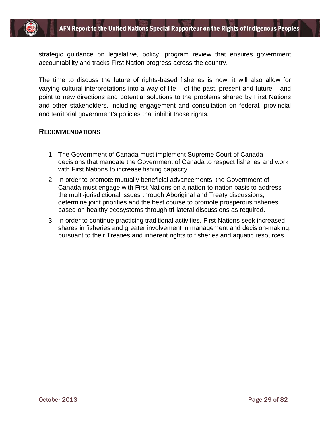

strategic guidance on legislative, policy, program review that ensures government accountability and tracks First Nation progress across the country.

The time to discuss the future of rights-based fisheries is now, it will also allow for varying cultural interpretations into a way of life – of the past, present and future – and point to new directions and potential solutions to the problems shared by First Nations and other stakeholders, including engagement and consultation on federal, provincial and territorial government's policies that inhibit those rights.

#### RECOMMENDATIONS

- 1. The Government of Canada must implement Supreme Court of Canada decisions that mandate the Government of Canada to respect fisheries and work with First Nations to increase fishing capacity.
- 2. In order to promote mutually beneficial advancements, the Government of Canada must engage with First Nations on a nation-to-nation basis to address the multi-jurisdictional issues through Aboriginal and Treaty discussions, determine joint priorities and the best course to promote prosperous fisheries based on healthy ecosystems through tri-lateral discussions as required.
- 3. In order to continue practicing traditional activities, First Nations seek increased shares in fisheries and greater involvement in management and decision-making, pursuant to their Treaties and inherent rights to fisheries and aquatic resources.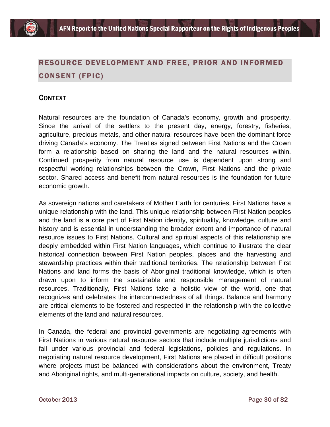# RESOURCE DEVELOPMENT AND FREE, PRIOR AND INFORMED CONSENT (FPIC)

## **CONTEXT**

Natural resources are the foundation of Canada's economy, growth and prosperity. Since the arrival of the settlers to the present day, energy, forestry, fisheries, agriculture, precious metals, and other natural resources have been the dominant force driving Canada's economy. The Treaties signed between First Nations and the Crown form a relationship based on sharing the land and the natural resources within. Continued prosperity from natural resource use is dependent upon strong and respectful working relationships between the Crown, First Nations and the private sector. Shared access and benefit from natural resources is the foundation for future economic growth.

As sovereign nations and caretakers of Mother Earth for centuries, First Nations have a unique relationship with the land. This unique relationship between First Nation peoples and the land is a core part of First Nation identity, spirituality, knowledge, culture and history and is essential in understanding the broader extent and importance of natural resource issues to First Nations. Cultural and spiritual aspects of this relationship are deeply embedded within First Nation languages, which continue to illustrate the clear historical connection between First Nation peoples, places and the harvesting and stewardship practices within their traditional territories. The relationship between First Nations and land forms the basis of Aboriginal traditional knowledge, which is often drawn upon to inform the sustainable and responsible management of natural resources. Traditionally, First Nations take a holistic view of the world, one that recognizes and celebrates the interconnectedness of all things. Balance and harmony are critical elements to be fostered and respected in the relationship with the collective elements of the land and natural resources.

In Canada, the federal and provincial governments are negotiating agreements with First Nations in various natural resource sectors that include multiple jurisdictions and fall under various provincial and federal legislations, policies and regulations. In negotiating natural resource development, First Nations are placed in difficult positions where projects must be balanced with considerations about the environment, Treaty and Aboriginal rights, and multi-generational impacts on culture, society, and health.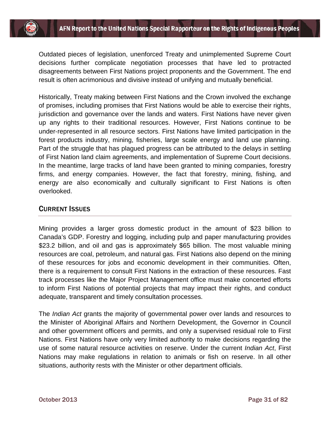Outdated pieces of legislation, unenforced Treaty and unimplemented Supreme Court decisions further complicate negotiation processes that have led to protracted disagreements between First Nations project proponents and the Government. The end result is often acrimonious and divisive instead of unifying and mutually beneficial.

Historically, Treaty making between First Nations and the Crown involved the exchange of promises, including promises that First Nations would be able to exercise their rights, jurisdiction and governance over the lands and waters. First Nations have never given up any rights to their traditional resources. However, First Nations continue to be under-represented in all resource sectors. First Nations have limited participation in the forest products industry, mining, fisheries, large scale energy and land use planning. Part of the struggle that has plagued progress can be attributed to the delays in settling of First Nation land claim agreements, and implementation of Supreme Court decisions. In the meantime, large tracks of land have been granted to mining companies, forestry firms, and energy companies. However, the fact that forestry, mining, fishing, and energy are also economically and culturally significant to First Nations is often overlooked.

## CURRENT ISSUES

Mining provides a larger gross domestic product in the amount of \$23 billion to Canada's GDP. Forestry and logging, including pulp and paper manufacturing provides \$23.2 billion, and oil and gas is approximately \$65 billion. The most valuable mining resources are coal, petroleum, and natural gas. First Nations also depend on the mining of these resources for jobs and economic development in their communities. Often, there is a requirement to consult First Nations in the extraction of these resources. Fast track processes like the Major Project Management office must make concerted efforts to inform First Nations of potential projects that may impact their rights, and conduct adequate, transparent and timely consultation processes.

The *Indian Act* grants the majority of governmental power over lands and resources to the Minister of Aboriginal Affairs and Northern Development, the Governor in Council and other government officers and permits, and only a supervised residual role to First Nations. First Nations have only very limited authority to make decisions regarding the use of some natural resource activities on reserve. Under the current *Indian Act*, First Nations may make regulations in relation to animals or fish on reserve. In all other situations, authority rests with the Minister or other department officials.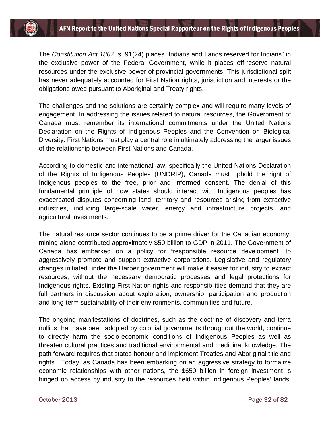The *Constitution Act 1867*, s. 91(24) places "Indians and Lands reserved for Indians" in the exclusive power of the Federal Government, while it places off-reserve natural resources under the exclusive power of provincial governments. This jurisdictional split has never adequately accounted for First Nation rights, jurisdiction and interests or the obligations owed pursuant to Aboriginal and Treaty rights.

The challenges and the solutions are certainly complex and will require many levels of engagement. In addressing the issues related to natural resources, the Government of Canada must remember its international commitments under the United Nations Declaration on the Rights of Indigenous Peoples and the Convention on Biological Diversity. First Nations must play a central role in ultimately addressing the larger issues of the relationship between First Nations and Canada.

According to domestic and international law, specifically the United Nations Declaration of the Rights of Indigenous Peoples (UNDRIP), Canada must uphold the right of Indigenous peoples to the free, prior and informed consent. The denial of this fundamental principle of how states should interact with Indigenous peoples has exacerbated disputes concerning land, territory and resources arising from extractive industries, including large-scale water, energy and infrastructure projects, and agricultural investments.

The natural resource sector continues to be a prime driver for the Canadian economy; mining alone contributed approximately \$50 billion to GDP in 2011. The Government of Canada has embarked on a policy for "responsible resource development" to aggressively promote and support extractive corporations. Legislative and regulatory changes initiated under the Harper government will make it easier for industry to extract resources, without the necessary democratic processes and legal protections for Indigenous rights. Existing First Nation rights and responsibilities demand that they are full partners in discussion about exploration, ownership, participation and production and long-term sustainability of their environments, communities and future.

The ongoing manifestations of doctrines, such as the doctrine of discovery and terra nullius that have been adopted by colonial governments throughout the world, continue to directly harm the socio-economic conditions of Indigenous Peoples as well as threaten cultural practices and traditional environmental and medicinal knowledge. The path forward requires that states honour and implement Treaties and Aboriginal title and rights. Today, as Canada has been embarking on an aggressive strategy to formalize economic relationships with other nations, the \$650 billion in foreign investment is hinged on access by industry to the resources held within Indigenous Peoples' lands.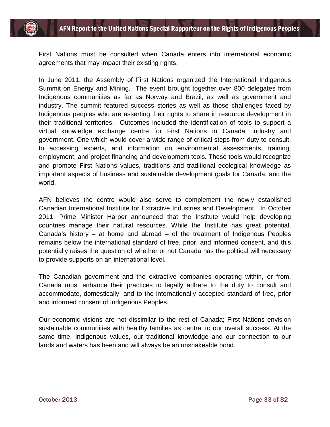First Nations must be consulted when Canada enters into international economic agreements that may impact their existing rights.

In June 2011, the Assembly of First Nations organized the International Indigenous Summit on Energy and Mining. The event brought together over 800 delegates from Indigenous communities as far as Norway and Brazil, as well as government and industry. The summit featured success stories as well as those challenges faced by Indigenous peoples who are asserting their rights to share in resource development in their traditional territories. Outcomes included the identification of tools to support a virtual knowledge exchange centre for First Nations in Canada, industry and government. One which would cover a wide range of critical steps from duty to consult, to accessing experts, and information on environmental assessments, training, employment, and project financing and development tools. These tools would recognize and promote First Nations values, traditions and traditional ecological knowledge as important aspects of business and sustainable development goals for Canada, and the world.

AFN believes the centre would also serve to complement the newly established Canadian International Institute for Extractive Industries and Development. In October 2011, Prime Minister Harper announced that the Institute would help developing countries manage their natural resources. While the Institute has great potential, Canada's history – at home and abroad – of the treatment of Indigenous Peoples remains below the international standard of free, prior, and informed consent, and this potentially raises the question of whether or not Canada has the political will necessary to provide supports on an international level.

The Canadian government and the extractive companies operating within, or from, Canada must enhance their practices to legally adhere to the duty to consult and accommodate, domestically, and to the internationally accepted standard of free, prior and informed consent of Indigenous Peoples.

Our economic visions are not dissimilar to the rest of Canada; First Nations envision sustainable communities with healthy families as central to our overall success. At the same time, Indigenous values, our traditional knowledge and our connection to our lands and waters has been and will always be an unshakeable bond.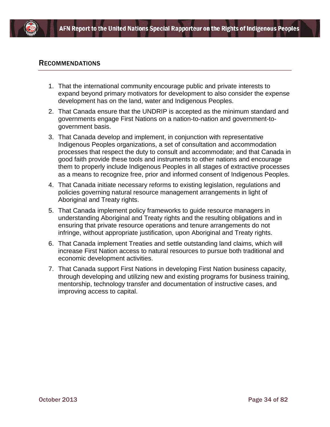

#### RECOMMENDATIONS

- 1. That the international community encourage public and private interests to expand beyond primary motivators for development to also consider the expense development has on the land, water and Indigenous Peoples.
- 2. That Canada ensure that the UNDRIP is accepted as the minimum standard and governments engage First Nations on a nation-to-nation and government-togovernment basis.
- 3. That Canada develop and implement, in conjunction with representative Indigenous Peoples organizations, a set of consultation and accommodation processes that respect the duty to consult and accommodate; and that Canada in good faith provide these tools and instruments to other nations and encourage them to properly include Indigenous Peoples in all stages of extractive processes as a means to recognize free, prior and informed consent of Indigenous Peoples.
- 4. That Canada initiate necessary reforms to existing legislation, regulations and policies governing natural resource management arrangements in light of Aboriginal and Treaty rights.
- 5. That Canada implement policy frameworks to guide resource managers in understanding Aboriginal and Treaty rights and the resulting obligations and in ensuring that private resource operations and tenure arrangements do not infringe, without appropriate justification, upon Aboriginal and Treaty rights.
- 6. That Canada implement Treaties and settle outstanding land claims, which will increase First Nation access to natural resources to pursue both traditional and economic development activities.
- 7. That Canada support First Nations in developing First Nation business capacity, through developing and utilizing new and existing programs for business training, mentorship, technology transfer and documentation of instructive cases, and improving access to capital.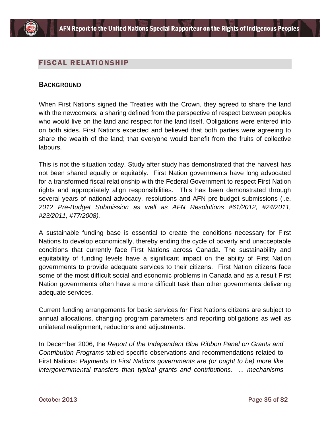

## FISCAL RELATIONSHIP

#### **BACKGROUND**

When First Nations signed the Treaties with the Crown, they agreed to share the land with the newcomers; a sharing defined from the perspective of respect between peoples who would live on the land and respect for the land itself. Obligations were entered into on both sides. First Nations expected and believed that both parties were agreeing to share the wealth of the land; that everyone would benefit from the fruits of collective labours.

This is not the situation today. Study after study has demonstrated that the harvest has not been shared equally or equitably. First Nation governments have long advocated for a transformed fiscal relationship with the Federal Government to respect First Nation rights and appropriately align responsibilities. This has been demonstrated through several years of national advocacy, resolutions and AFN pre-budget submissions (i.e. *2012 Pre-Budget Submission as well as AFN Resolutions #61/2012, #24/2011, #23/2011, #77/2008).*

A sustainable funding base is essential to create the conditions necessary for First Nations to develop economically, thereby ending the cycle of poverty and unacceptable conditions that currently face First Nations across Canada. The sustainability and equitability of funding levels have a significant impact on the ability of First Nation governments to provide adequate services to their citizens. First Nation citizens face some of the most difficult social and economic problems in Canada and as a result First Nation governments often have a more difficult task than other governments delivering adequate services.

Current funding arrangements for basic services for First Nations citizens are subject to annual allocations, changing program parameters and reporting obligations as well as unilateral realignment, reductions and adjustments.

In December 2006, the *Report of the Independent Blue Ribbon Panel on Grants and Contribution Programs* tabled specific observations and recommendations related to First Nations: *Payments to First Nations governments are (or ought to be) more like intergovernmental transfers than typical grants and contributions. ... mechanisms*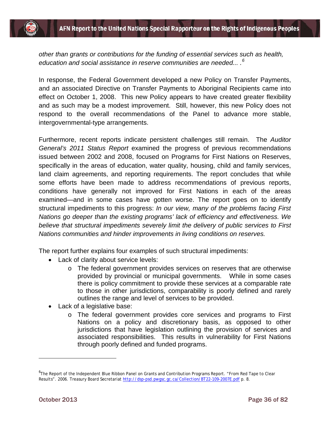*other than grants or contributions for the funding of essential services such as health, education and social assistance in reserve communities are needed... .[6](#page-36-0)*

In response, the Federal Government developed a new Policy on Transfer Payments, and an associated Directive on Transfer Payments to Aboriginal Recipients came into effect on October 1, 2008. This new Policy appears to have created greater flexibility and as such may be a modest improvement. Still, however, this new Policy does not respond to the overall recommendations of the Panel to advance more stable, intergovernmental-type arrangements.

Furthermore, recent reports indicate persistent challenges still remain. The *Auditor General's 2011 Status Report* examined the progress of previous recommendations issued between 2002 and 2008, focused on Programs for First Nations on Reserves, specifically in the areas of education, water quality, housing, child and family services, land claim agreements, and reporting requirements. The report concludes that while some efforts have been made to address recommendations of previous reports, conditions have generally not improved for First Nations in each of the areas examined—and in some cases have gotten worse. The report goes on to identify structural impediments to this progress: *In our view, many of the problems facing First Nations go deeper than the existing programs' lack of efficiency and effectiveness. We believe that structural impediments severely limit the delivery of public services to First Nations communities and hinder improvements in living conditions on reserves.* 

The report further explains four examples of such structural impediments:

- Lack of clarity about service levels:
	- o The federal government provides services on reserves that are otherwise<br>provided by provincial or municipal governments. While in some cases provided by provincial or municipal governments. there is policy commitment to provide these services at a comparable rate to those in other jurisdictions, comparability is poorly defined and rarely outlines the range and level of services to be provided.
- Lack of a legislative base:
	- o The federal government provides core services and programs to First Nations on a policy and discretionary basis, as opposed to other jurisdictions that have legislation outlining the provision of services and associated responsibilities. This results in vulnerability for First Nations through poorly defined and funded programs.

<span id="page-36-0"></span><sup>6</sup> The Report of the Independent Blue Ribbon Panel on Grants and Contribution Programs Report. "*From Red Tape to Clear Results"*. 2006. Treasury Board Secretariat<http://dsp-psd.pwgsc.gc.ca/Collection/BT22-109-2007E.pdf> p. 8.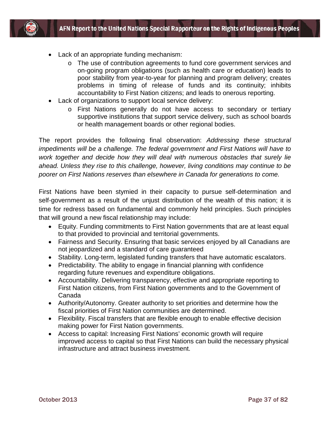

- Lack of an appropriate funding mechanism:
	- o The use of contribution agreements to fund core government services and on-going program obligations (such as health care or education) leads to poor stability from year-to-year for planning and program delivery; creates problems in timing of release of funds and its continuity; inhibits accountability to First Nation citizens; and leads to onerous reporting.
- Lack of organizations to support local service delivery:
	- o First Nations generally do not have access to secondary or tertiary supportive institutions that support service delivery, such as school boards or health management boards or other regional bodies.

The report provides the following final observation: *Addressing these structural impediments will be a challenge. The federal government and First Nations will have to work together and decide how they will deal with numerous obstacles that surely lie ahead. Unless they rise to this challenge, however, living conditions may continue to be poorer on First Nations reserves than elsewhere in Canada for generations to come.*

First Nations have been stymied in their capacity to pursue self-determination and self-government as a result of the unjust distribution of the wealth of this nation; it is time for redress based on fundamental and commonly held principles. Such principles that will ground a new fiscal relationship may include:

- Equity. Funding commitments to First Nation governments that are at least equal to that provided to provincial and territorial governments.
- Fairness and Security. Ensuring that basic services enjoyed by all Canadians are not jeopardized and a standard of care guaranteed
- Stability. Long-term, legislated funding transfers that have automatic escalators.
- Predictability. The ability to engage in financial planning with confidence regarding future revenues and expenditure obligations.
- Accountability. Delivering transparency, effective and appropriate reporting to First Nation citizens, from First Nation governments and to the Government of Canada
- Authority/Autonomy. Greater authority to set priorities and determine how the fiscal priorities of First Nation communities are determined.
- Flexibility. Fiscal transfers that are flexible enough to enable effective decision making power for First Nation governments.
- Access to capital: Increasing First Nations' economic growth will require improved access to capital so that First Nations can build the necessary physical infrastructure and attract business investment.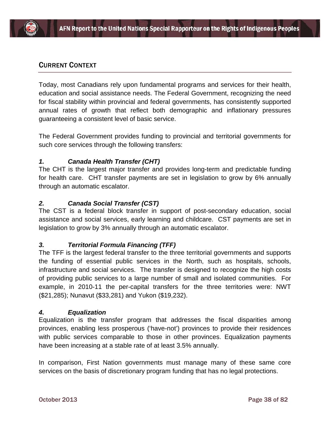# CURRENT CONTEXT

Today, most Canadians rely upon fundamental programs and services for their health, education and social assistance needs. The Federal Government, recognizing the need for fiscal stability within provincial and federal governments, has consistently supported annual rates of growth that reflect both demographic and inflationary pressures guaranteeing a consistent level of basic service.

The Federal Government provides funding to provincial and territorial governments for such core services through the following transfers:

## *1. Canada Health Transfer (CHT)*

The CHT is the largest major transfer and provides long-term and predictable funding for health care. CHT transfer payments are set in legislation to grow by 6% annually through an automatic escalator.

### *2. Canada Social Transfer (CST)*

The CST is a federal block transfer in support of post-secondary education, social assistance and social services, early learning and childcare. CST payments are set in legislation to grow by 3% annually through an automatic escalator.

## *3. Territorial Formula Financing (TFF)*

The TFF is the largest federal transfer to the three territorial governments and supports the funding of essential public services in the North, such as hospitals, schools, infrastructure and social services. The transfer is designed to recognize the high costs of providing public services to a large number of small and isolated communities. For example, in 2010-11 the per-capital transfers for the three territories were: NWT (\$21,285); Nunavut (\$33,281) and Yukon (\$19,232).

#### *4. Equalization*

Equalization is the transfer program that addresses the fiscal disparities among provinces, enabling less prosperous ('have-not') provinces to provide their residences with public services comparable to those in other provinces. Equalization payments have been increasing at a stable rate of at least 3.5% annually.

In comparison, First Nation governments must manage many of these same core services on the basis of discretionary program funding that has no legal protections.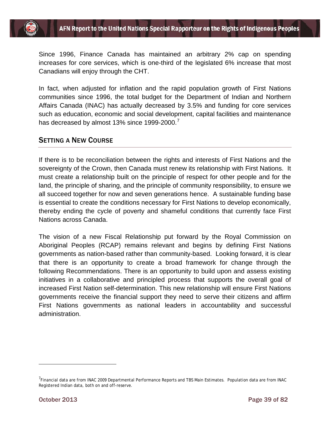

Since 1996, Finance Canada has maintained an arbitrary 2% cap on spending increases for core services, which is one-third of the legislated 6% increase that most Canadians will enjoy through the CHT.

In fact, when adjusted for inflation and the rapid population growth of First Nations communities since 1996, the total budget for the Department of Indian and Northern Affairs Canada (INAC) has actually decreased by 3.5% and funding for core services such as education, economic and social development, capital facilities and maintenance has decreased by almost 13% since 1999-2000.

## SETTING A NEW COURSE

If there is to be reconciliation between the rights and interests of First Nations and the sovereignty of the Crown, then Canada must renew its relationship with First Nations. It must create a relationship built on the principle of respect for other people and for the land, the principle of sharing, and the principle of community responsibility, to ensure we all succeed together for now and seven generations hence. A sustainable funding base is essential to create the conditions necessary for First Nations to develop economically, thereby ending the cycle of poverty and shameful conditions that currently face First Nations across Canada.

The vision of a new Fiscal Relationship put forward by the Royal Commission on Aboriginal Peoples (RCAP) remains relevant and begins by defining First Nations governments as nation-based rather than community-based. Looking forward, it is clear that there is an opportunity to create a broad framework for change through the following Recommendations. There is an opportunity to build upon and assess existing initiatives in a collaborative and principled process that supports the overall goal of increased First Nation self-determination. This new relationship will ensure First Nations governments receive the financial support they need to serve their citizens and affirm First Nations governments as national leaders in accountability and successful administration.

<span id="page-39-0"></span><sup>&</sup>lt;sup>7</sup> Financial data are from INAC 2009 Departmental Performance Reports and TBS Main Estimates. Population data are from INAC Registered Indian data, both on and off-reserve.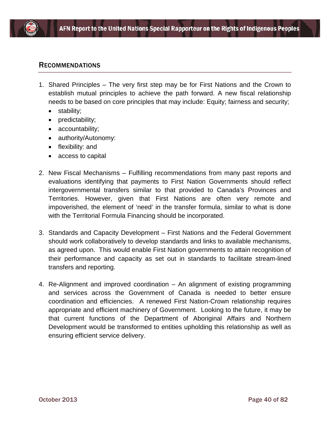

### RECOMMENDATIONS

- 1. Shared Principles The very first step may be for First Nations and the Crown to establish mutual principles to achieve the path forward. A new fiscal relationship needs to be based on core principles that may include: Equity; fairness and security;
	- stability;
	- predictability;
	- accountability;
	- authority/Autonomy:
	- flexibility: and
	- access to capital
- 2. New Fiscal Mechanisms Fulfilling recommendations from many past reports and evaluations identifying that payments to First Nation Governments should reflect intergovernmental transfers similar to that provided to Canada's Provinces and Territories. However, given that First Nations are often very remote and impoverished, the element of 'need' in the transfer formula, similar to what is done with the Territorial Formula Financing should be incorporated.
- 3. Standards and Capacity Development First Nations and the Federal Government should work collaboratively to develop standards and links to available mechanisms, as agreed upon. This would enable First Nation governments to attain recognition of their performance and capacity as set out in standards to facilitate stream-lined transfers and reporting.
- 4. Re-Alignment and improved coordination An alignment of existing programming and services across the Government of Canada is needed to better ensure coordination and efficiencies. A renewed First Nation-Crown relationship requires appropriate and efficient machinery of Government. Looking to the future, it may be that current functions of the Department of Aboriginal Affairs and Northern Development would be transformed to entities upholding this relationship as well as ensuring efficient service delivery.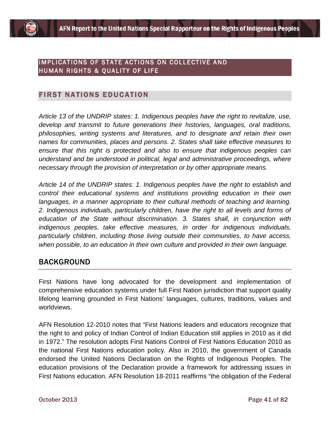## IMPLICATIONS OF STATE ACTIONS ON COLLECTIVE AND HUMAN RIGHTS & QUALITY OF LIFE

# FIRST NATIONS EDUCATION

*Article 13 of the UNDRIP states: 1. Indigenous peoples have the right to revitalize, use, develop and transmit to future generations their histories, languages, oral traditions, philosophies, writing systems and literatures, and to designate and retain their own names for communities, places and persons. 2. States shall take effective measures to ensure that this right is protected and also to ensure that indigenous peoples can understand and be understood in political, legal and administrative proceedings, where necessary through the provision of interpretation or by other appropriate means.*

*Article 14 of the UNDRIP states: 1. Indigenous peoples have the right to establish and control their educational systems and institutions providing education in their own languages, in a manner appropriate to their cultural methods of teaching and learning. 2. Indigenous individuals, particularly children, have the right to all levels and forms of education of the State without discrimination. 3. States shall, in conjunction with indigenous peoples, take effective measures, in order for indigenous individuals, particularly children, including those living outside their communities, to have access, when possible, to an education in their own culture and provided in their own language.*

# BACKGROUND

First Nations have long advocated for the development and implementation of comprehensive education systems under full First Nation jurisdiction that support quality lifelong learning grounded in First Nations' languages, cultures, traditions, values and worldviews.

AFN Resolution 12-2010 notes that "First Nations leaders and educators recognize that the right to and policy of Indian Control of Indian Education still applies in 2010 as it did in 1972." The resolution adopts First Nations Control of First Nations Education 2010 as the national First Nations education policy. Also in 2010, the government of Canada endorsed the United Nations Declaration on the Rights of Indigenous Peoples. The education provisions of the Declaration provide a framework for addressing issues in First Nations education. AFN Resolution 18-2011 reaffirms "the obligation of the Federal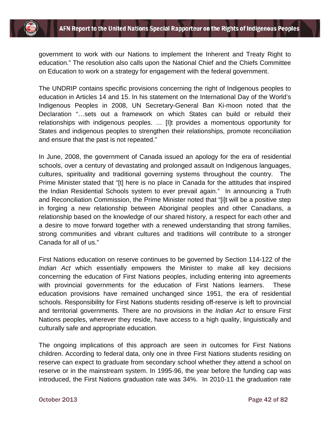government to work with our Nations to implement the Inherent and Treaty Right to education." The resolution also calls upon the National Chief and the Chiefs Committee on Education to work on a strategy for engagement with the federal government.

The UNDRIP contains specific provisions concerning the right of Indigenous peoples to education in Articles 14 and 15. In his statement on the International Day of the World's Indigenous Peoples in 2008, UN Secretary-General Ban Ki-moon noted that the Declaration "…sets out a framework on which States can build or rebuild their relationships with indigenous peoples. … [I]t provides a momentous opportunity for States and indigenous peoples to strengthen their relationships, promote reconciliation and ensure that the past is not repeated."

In June, 2008, the government of Canada issued an apology for the era of residential schools, over a century of devastating and prolonged assault on Indigenous languages, cultures, spirituality and traditional governing systems throughout the country. The Prime Minister stated that "[t] here is no place in Canada for the attitudes that inspired the Indian Residential Schools system to ever prevail again." In announcing a Truth and Reconciliation Commission, the Prime Minister noted that "[i]t will be a positive step in forging a new relationship between Aboriginal peoples and other Canadians, a relationship based on the knowledge of our shared history, a respect for each other and a desire to move forward together with a renewed understanding that strong families, strong communities and vibrant cultures and traditions will contribute to a stronger Canada for all of us."

First Nations education on reserve continues to be governed by Section 114-122 of the *Indian Act* which essentially empowers the Minister to make all key decisions concerning the education of First Nations peoples, including entering into agreements with provincial governments for the education of First Nations learners. These education provisions have remained unchanged since 1951, the era of residential schools. Responsibility for First Nations students residing off-reserve is left to provincial and territorial governments. There are no provisions in the *Indian Act* to ensure First Nations peoples, wherever they reside, have access to a high quality, linguistically and culturally safe and appropriate education.

The ongoing implications of this approach are seen in outcomes for First Nations children. According to federal data, only one in three First Nations students residing on reserve can expect to graduate from secondary school whether they attend a school on reserve or in the mainstream system. In 1995-96, the year before the funding cap was introduced, the First Nations graduation rate was 34%. In 2010-11 the graduation rate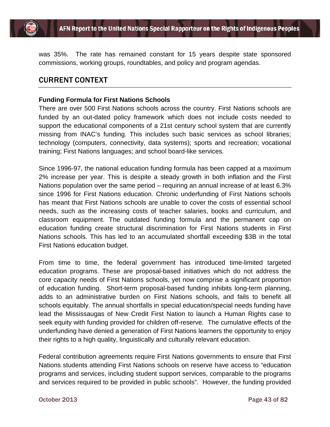

was 35%. The rate has remained constant for 15 years despite state sponsored commissions, working groups, roundtables, and policy and program agendas.

# CURRENT CONTEXT

#### **Funding Formula for First Nations Schools**

There are over 500 First Nations schools across the country. First Nations schools are funded by an out-dated policy framework which does not include costs needed to support the educational components of a 21st century school system that are currently missing from INAC's funding. This includes such basic services as school libraries; technology (computers, connectivity, data systems); sports and recreation; vocational training; First Nations languages; and school board-like services.

Since 1996-97, the national education funding formula has been capped at a maximum 2% increase per year. This is despite a steady growth in both inflation and the First Nations population over the same period – requiring an annual increase of at least 6.3% since 1996 for First Nations education. Chronic underfunding of First Nations schools has meant that First Nations schools are unable to cover the costs of essential school needs, such as the increasing costs of teacher salaries, books and curriculum, and classroom equipment. The outdated funding formula and the permanent cap on education funding create structural discrimination for First Nations students in First Nations schools. This has led to an accumulated shortfall exceeding \$3B in the total First Nations education budget.

From time to time, the federal government has introduced time-limited targeted education programs. These are proposal-based initiatives which do not address the core capacity needs of First Nations schools, yet now comprise a significant proportion of education funding. Short-term proposal-based funding inhibits long-term planning, adds to an administrative burden on First Nations schools, and fails to benefit all schools equitably. The annual shortfalls in special education/special needs funding have lead the Mississaugas of New Credit First Nation to launch a Human Rights case to seek equity with funding provided for children off-reserve. The cumulative effects of the underfunding have denied a generation of First Nations learners the opportunity to enjoy their rights to a high quality, linguistically and culturally relevant education.

Federal contribution agreements require First Nations governments to ensure that First Nations students attending First Nations schools on reserve have access to "education programs and services, including student support services, comparable to the programs and services required to be provided in public schools". However, the funding provided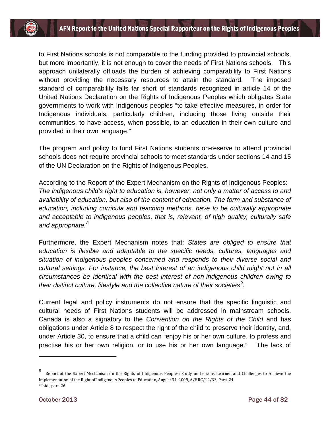to First Nations schools is not comparable to the funding provided to provincial schools, but more importantly, it is not enough to cover the needs of First Nations schools. This approach unilaterally offloads the burden of achieving comparability to First Nations without providing the necessary resources to attain the standard. The imposed standard of comparability falls far short of standards recognized in article 14 of the United Nations Declaration on the Rights of Indigenous Peoples which obligates State governments to work with Indigenous peoples "to take effective measures, in order for Indigenous individuals, particularly children, including those living outside their communities, to have access, when possible, to an education in their own culture and provided in their own language."

The program and policy to fund First Nations students on-reserve to attend provincial schools does not require provincial schools to meet standards under sections 14 and 15 of the UN Declaration on the Rights of Indigenous Peoples.

According to the Report of the Expert Mechanism on the Rights of Indigenous Peoples: *The indigenous child's right to education is, however, not only a matter of access to and availability of education, but also of the content of education. The form and substance of education, including curricula and teaching methods, have to be culturally appropriate and acceptable to indigenous peoples, that is, relevant, of high quality, culturally safe and appropriate.[8](#page-44-0)*

Furthermore, the Expert Mechanism notes that: *States are obliged to ensure that education is flexible and adaptable to the specific needs, cultures, languages and situation of indigenous peoples concerned and responds to their diverse social and cultural settings. For instance, the best interest of an indigenous child might not in all circumstances be identical with the best interest of non-indigenous children owing to their distinct culture, lifestyle and the collective nature of their societies[9](#page-44-1) .*

Current legal and policy instruments do not ensure that the specific linguistic and cultural needs of First Nations students will be addressed in mainstream schools. Canada is also a signatory to the *Convention on the Rights of the Child* and has obligations under Article 8 to respect the right of the child to preserve their identity, and, under Article 30, to ensure that a child can "enjoy his or her own culture, to profess and practise his or her own religion, or to use his or her own language." The lack of

<span id="page-44-1"></span><span id="page-44-0"></span><sup>8</sup> Report of the Expert Mechanism on the Rights of Indigenous Peoples: Study on Lessons Learned and Challenges to Achieve the Implementation of the Right of Indigenous Peoples to Education, August 31, 2009, A/HRC/12/33, Para. 24 <sup>9</sup> Ibid., para 26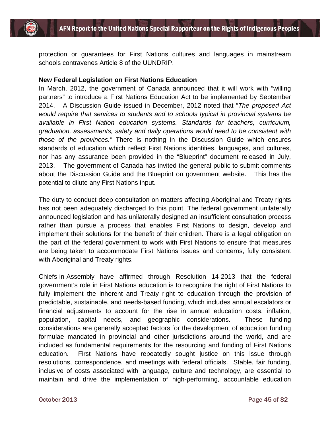

protection or guarantees for First Nations cultures and languages in mainstream schools contravenes Article 8 of the UUNDRIP.

#### **New Federal Legislation on First Nations Education**

In March, 2012, the government of Canada announced that it will work with "willing partners" to introduce a First Nations Education Act to be implemented by September 2014. A Discussion Guide issued in December, 2012 noted that "*The proposed Act would require that services to students and to schools typical in provincial systems be available in First Nation education systems. Standards for teachers, curriculum, graduation, assessments, safety and daily operations would need to be consistent with those of the provinces."* There is nothing in the Discussion Guide which ensures standards of education which reflect First Nations identities, languages, and cultures, nor has any assurance been provided in the "Blueprint" document released in July, 2013. The government of Canada has invited the general public to submit comments about the Discussion Guide and the Blueprint on government website. This has the potential to dilute any First Nations input.

The duty to conduct deep consultation on matters affecting Aboriginal and Treaty rights has not been adequately discharged to this point. The federal government unilaterally announced legislation and has unilaterally designed an insufficient consultation process rather than pursue a process that enables First Nations to design, develop and implement their solutions for the benefit of their children. There is a legal obligation on the part of the federal government to work with First Nations to ensure that measures are being taken to accommodate First Nations issues and concerns, fully consistent with Aboriginal and Treaty rights.

Chiefs-in-Assembly have affirmed through Resolution 14-2013 that the federal government's role in First Nations education is to recognize the right of First Nations to fully implement the inherent and Treaty right to education through the provision of predictable, sustainable, and needs-based funding, which includes annual escalators or financial adjustments to account for the rise in annual education costs, inflation, population, capital needs, and geographic considerations. These funding considerations are generally accepted factors for the development of education funding formulae mandated in provincial and other jurisdictions around the world, and are included as fundamental requirements for the resourcing and funding of First Nations education. First Nations have repeatedly sought justice on this issue through resolutions, correspondence, and meetings with federal officials. Stable, fair funding, inclusive of costs associated with language, culture and technology, are essential to maintain and drive the implementation of high-performing, accountable education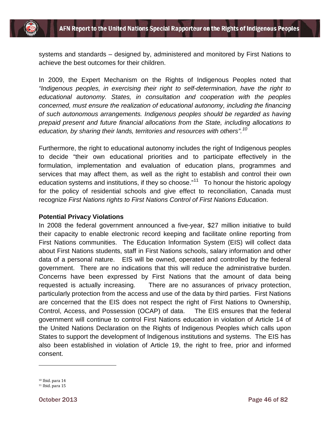systems and standards – designed by, administered and monitored by First Nations to achieve the best outcomes for their children.

In 2009, the Expert Mechanism on the Rights of Indigenous Peoples noted that *"Indigenous peoples, in exercising their right to self-determination, have the right to educational autonomy. States, in consultation and cooperation with the peoples concerned, must ensure the realization of educational autonomy, including the financing of such autonomous arrangements. Indigenous peoples should be regarded as having prepaid present and future financial allocations from the State, including allocations to education, by sharing their lands, territories and resources with others".[10](#page-46-0)*

Furthermore, the right to educational autonomy includes the right of Indigenous peoples to decide "their own educational priorities and to participate effectively in the formulation, implementation and evaluation of education plans, programmes and services that may affect them, as well as the right to establish and control their own education systems and institutions, if they so choose. $11^1$  $11^1$  To honour the historic apology for the policy of residential schools and give effect to reconciliation, Canada must recognize *First Nations rights to First Nations Control of First Nations Education*.

#### **Potential Privacy Violations**

In 2008 the federal government announced a five-year, \$27 million initiative to build their capacity to enable electronic record keeping and facilitate online reporting from First Nations communities. The Education Information System (EIS) will collect data about First Nations students, staff in First Nations schools, salary information and other data of a personal nature. EIS will be owned, operated and controlled by the federal government. There are no indications that this will reduce the administrative burden. Concerns have been expressed by First Nations that the amount of data being requested is actually increasing. There are no assurances of privacy protection, particularly protection from the access and use of the data by third parties. First Nations are concerned that the EIS does not respect the right of First Nations to Ownership, Control, Access, and Possession (OCAP) of data. The EIS ensures that the federal government will continue to control First Nations education in violation of Article 14 of the United Nations Declaration on the Rights of Indigenous Peoples which calls upon States to support the development of Indigenous institutions and systems. The EIS has also been established in violation of Article 19, the right to free, prior and informed consent.

<span id="page-46-1"></span><span id="page-46-0"></span><sup>10</sup> Ibid. para 14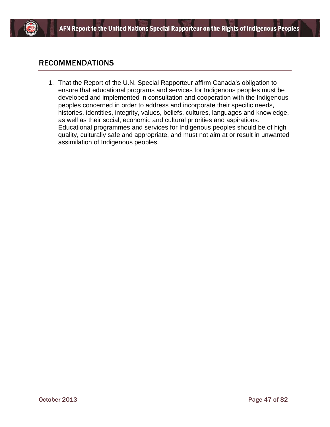

# RECOMMENDATIONS

1. That the Report of the U.N. Special Rapporteur affirm Canada's obligation to ensure that educational programs and services for Indigenous peoples must be developed and implemented in consultation and cooperation with the Indigenous peoples concerned in order to address and incorporate their specific needs, histories, identities, integrity, values, beliefs, cultures, languages and knowledge, as well as their social, economic and cultural priorities and aspirations. Educational programmes and services for Indigenous peoples should be of high quality, culturally safe and appropriate, and must not aim at or result in unwanted assimilation of Indigenous peoples.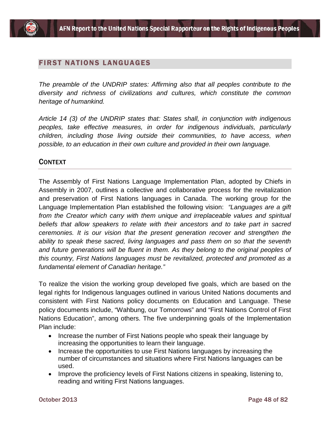## FIRST NATIONS LANGUAGES

*The preamble of the UNDRIP states: Affirming also that all peoples contribute to the diversity and richness of civilizations and cultures, which constitute the common heritage of humankind.* 

*Article 14 (3) of the UNDRIP states that: States shall, in conjunction with indigenous peoples, take effective measures, in order for indigenous individuals, particularly children, including those living outside their communities, to have access, when possible, to an education in their own culture and provided in their own language.*

## **CONTEXT**

The Assembly of First Nations Language Implementation Plan, adopted by Chiefs in Assembly in 2007, outlines a collective and collaborative process for the revitalization and preservation of First Nations languages in Canada. The working group for the Language Implementation Plan established the following vision: *"Languages are a gift from the Creator which carry with them unique and irreplaceable values and spiritual beliefs that allow speakers to relate with their ancestors and to take part in sacred ceremonies. It is our vision that the present generation recover and strengthen the ability to speak these sacred, living languages and pass them on so that the seventh and future generations will be fluent in them. As they belong to the original peoples of this country, First Nations languages must be revitalized, protected and promoted as a fundamental element of Canadian heritage."*

To realize the vision the working group developed five goals, which are based on the legal rights for Indigenous languages outlined in various United Nations documents and consistent with First Nations policy documents on Education and Language. These policy documents include, "Wahbung, our Tomorrows" and "First Nations Control of First Nations Education", among others. The five underpinning goals of the Implementation Plan include:

- Increase the number of First Nations people who speak their language by increasing the opportunities to learn their language.
- Increase the opportunities to use First Nations languages by increasing the number of circumstances and situations where First Nations languages can be used.
- Improve the proficiency levels of First Nations citizens in speaking, listening to, reading and writing First Nations languages.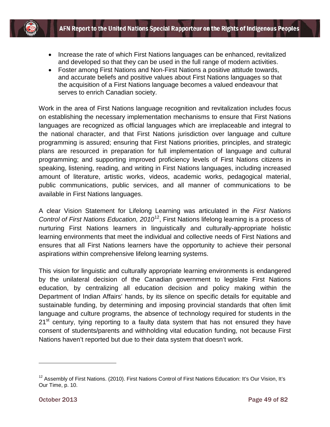- Increase the rate of which First Nations languages can be enhanced, revitalized and developed so that they can be used in the full range of modern activities.
- Foster among First Nations and Non-First Nations a positive attitude towards, and accurate beliefs and positive values about First Nations languages so that the acquisition of a First Nations language becomes a valued endeavour that serves to enrich Canadian society.

Work in the area of First Nations language recognition and revitalization includes focus on establishing the necessary implementation mechanisms to ensure that First Nations languages are recognized as official languages which are irreplaceable and integral to the national character, and that First Nations jurisdiction over language and culture programming is assured; ensuring that First Nations priorities, principles, and strategic plans are resourced in preparation for full implementation of language and cultural programming; and supporting improved proficiency levels of First Nations citizens in speaking, listening, reading, and writing in First Nations languages, including increased amount of literature, artistic works, videos, academic works, pedagogical material, public communications, public services, and all manner of communications to be available in First Nations languages.

A clear Vision Statement for Lifelong Learning was articulated in the *First Nations Control of First Nations Education, 2010*<sup>12</sup>, First Nations lifelong learning is a process of nurturing First Nations learners in linguistically and culturally-appropriate holistic learning environments that meet the individual and collective needs of First Nations and ensures that all First Nations learners have the opportunity to achieve their personal aspirations within comprehensive lifelong learning systems.

This vision for linguistic and culturally appropriate learning environments is endangered by the unilateral decision of the Canadian government to legislate First Nations education, by centralizing all education decision and policy making within the Department of Indian Affairs' hands, by its silence on specific details for equitable and sustainable funding, by determining and imposing provincial standards that often limit language and culture programs, the absence of technology required for students in the 21<sup>st</sup> century, tying reporting to a faulty data system that has not ensured they have consent of students/parents and withholding vital education funding, not because First Nations haven't reported but due to their data system that doesn't work.

<span id="page-49-0"></span><sup>&</sup>lt;sup>12</sup> Assembly of First Nations. (2010). First Nations Control of First Nations Education: It's Our Vision, It's Our Time, p. 10.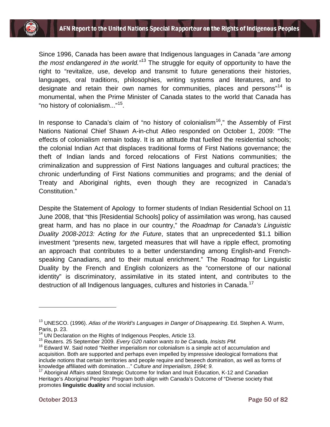Since 1996, Canada has been aware that Indigenous languages in Canada "*are among the most endangered in the world."*[13](#page-50-0) The struggle for equity of opportunity to have the right to "revitalize, use, develop and transmit to future generations their histories, languages, oral traditions, philosophies, writing systems and literatures, and to designate and retain their own names for communities, places and persons<sup>"[14](#page-50-1)</sup> is monumental, when the Prime Minister of Canada states to the world that Canada has "no history of colonialism..."[15](#page-50-2).

In response to Canada's claim of "no history of colonialism<sup>[16](#page-50-3)</sup>," the Assembly of First Nations National Chief Shawn A-in-chut Atleo responded on October 1, 2009: "The effects of colonialism remain today. It is an attitude that fuelled the residential schools; the colonial Indian Act that displaces traditional forms of First Nations governance; the theft of Indian lands and forced relocations of First Nations communities; the criminalization and suppression of First Nations languages and cultural practices; the chronic underfunding of First Nations communities and programs; and the denial of Treaty and Aboriginal rights, even though they are recognized in Canada's Constitution."

Despite the Statement of Apology to former students of Indian Residential School on 11 June 2008, that "this [Residential Schools] policy of assimilation was wrong, has caused great harm, and has no place in our country," the *Roadmap for Canada's Linguistic Duality 2008-2013: Acting for the Future*, states that an unprecedented \$1.1 billion investment "presents new, targeted measures that will have a ripple effect, promoting an approach that contributes to a better understanding among English-and Frenchspeaking Canadians, and to their mutual enrichment." The Roadmap for Linguistic Duality by the French and English colonizers as the "cornerstone of our national identity" is discriminatory, assimilative in its stated intent, and contributes to the destruction of all Indigenous languages, cultures and histories in Canada.<sup>[17](#page-50-4)</sup>

<span id="page-50-0"></span><sup>13</sup> UNESCO. (1996). *Atlas of the World's Languages in Danger of Disappearing*. Ed. Stephen A. Wurm, Paris, p. 23.<br><sup>14</sup> UN Declaration on the Rights of Indigenous Peoples, Article 13.

<span id="page-50-3"></span><span id="page-50-2"></span><span id="page-50-1"></span><sup>&</sup>lt;sup>15</sup> Reuters. 25 September 2009. Every G20 nation wants to be Canada, Insists PM.<br><sup>16</sup> Edward W. Said noted "Neither imperialism nor colonialism is a simple act of accumulation and acquisition. Both are supported and perhaps even impelled by impressive ideological formations that include notions that certain territories and people require and beseech domination, as well as forms of knowledge affiliated with domination..." Culture and Imperialism, 1994; 9.

<span id="page-50-4"></span><sup>&</sup>lt;sup>17</sup> Aboriginal Affairs stated Strategic Outcome for Indian and Inuit Education, K-12 and Canadian Heritage's Aboriginal Peoples' Program both align with Canada's Outcome of "Diverse society that promotes **linguistic duality** and social inclusion.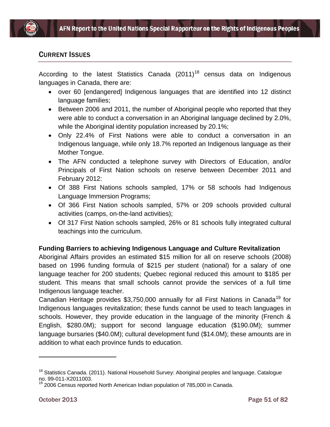

# CURRENT ISSUES

According to the latest Statistics Canada  $(2011)^{18}$  $(2011)^{18}$  $(2011)^{18}$  census data on Indigenous languages in Canada, there are:

- over 60 [endangered] Indigenous languages that are identified into 12 distinct language families;
- Between 2006 and 2011, the number of Aboriginal people who reported that they were able to conduct a conversation in an Aboriginal language declined by 2.0%, while the Aboriginal identity population increased by 20.1%;
- Only 22.4% of First Nations were able to conduct a conversation in an Indigenous language, while only 18.7% reported an Indigenous language as their Mother Tongue.
- The AFN conducted a telephone survey with Directors of Education, and/or Principals of First Nation schools on reserve between December 2011 and February 2012:
- Of 388 First Nations schools sampled, 17% or 58 schools had Indigenous Language Immersion Programs;
- Of 366 First Nation schools sampled, 57% or 209 schools provided cultural activities (camps, on-the-land activities);
- Of 317 First Nation schools sampled, 26% or 81 schools fully integrated cultural teachings into the curriculum.

## **Funding Barriers to achieving Indigenous Language and Culture Revitalization**

Aboriginal Affairs provides an estimated \$15 million for all on reserve schools (2008) based on 1996 funding formula of \$215 per student (national) for a salary of one language teacher for 200 students; Quebec regional reduced this amount to \$185 per student. This means that small schools cannot provide the services of a full time Indigenous language teacher.

Canadian Heritage provides \$3,750,000 annually for all First Nations in Canada<sup>[19](#page-51-1)</sup> for Indigenous languages revitalization; these funds cannot be used to teach languages in schools. However, they provide education in the language of the minority (French & English, \$280.0M); support for second language education (\$190.0M); summer language bursaries (\$40.0M); cultural development fund (\$14.0M); these amounts are in addition to what each province funds to education.

<span id="page-51-0"></span><sup>&</sup>lt;sup>18</sup> Statistics Canada. (2011). National Household Survey: Aboriginal peoples and language. Catalogue no. 99-011-X2011003.

<span id="page-51-1"></span> $^{9}$  2006 Census reported North American Indian population of 785,000 in Canada.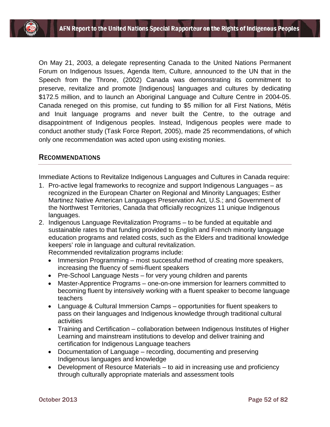On May 21, 2003, a delegate representing Canada to the United Nations Permanent Forum on Indigenous Issues, Agenda Item, Culture, announced to the UN that in the Speech from the Throne, (2002) Canada was demonstrating its commitment to preserve, revitalize and promote [Indigenous] languages and cultures by dedicating \$172.5 million, and to launch an Aboriginal Language and Culture Centre in 2004-05. Canada reneged on this promise, cut funding to \$5 million for all First Nations, Métis and Inuit language programs and never built the Centre, to the outrage and disappointment of Indigenous peoples. Instead, Indigenous peoples were made to conduct another study (Task Force Report, 2005), made 25 recommendations, of which only one recommendation was acted upon using existing monies.

## RECOMMENDATIONS

Immediate Actions to Revitalize Indigenous Languages and Cultures in Canada require:

- 1. Pro-active legal frameworks to recognize and support Indigenous Languages as recognized in the European Charter on Regional and Minority Languages; Esther Martinez Native American Languages Preservation Act, U.S.; and Government of the Northwest Territories, Canada that officially recognizes 11 unique Indigenous languages.
- 2. Indigenous Language Revitalization Programs to be funded at equitable and sustainable rates to that funding provided to English and French minority language education programs and related costs, such as the Elders and traditional knowledge keepers' role in language and cultural revitalization.

Recommended revitalization programs include:

- Immersion Programming most successful method of creating more speakers, increasing the fluency of semi-fluent speakers
- Pre-School Language Nests for very young children and parents
- Master-Apprentice Programs one-on-one immersion for learners committed to becoming fluent by intensively working with a fluent speaker to become language teachers
- Language & Cultural Immersion Camps opportunities for fluent speakers to pass on their languages and Indigenous knowledge through traditional cultural activities
- Training and Certification collaboration between Indigenous Institutes of Higher Learning and mainstream institutions to develop and deliver training and certification for Indigenous Language teachers
- Documentation of Language recording, documenting and preserving Indigenous languages and knowledge
- Development of Resource Materials to aid in increasing use and proficiency through culturally appropriate materials and assessment tools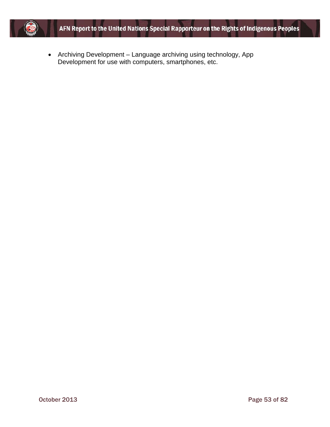

• Archiving Development – Language archiving using technology, App Development for use with computers, smartphones, etc.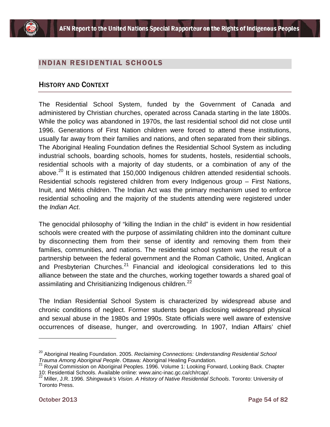

# INDIAN RESIDENTIAL SCHOOLS

## HISTORY AND CONTEXT

The Residential School System, funded by the Government of Canada and administered by Christian churches, operated across Canada starting in the late 1800s. While the policy was abandoned in 1970s, the last residential school did not close until 1996. Generations of First Nation children were forced to attend these institutions, usually far away from their families and nations, and often separated from their siblings. The Aboriginal Healing Foundation defines the Residential School System as including industrial schools, boarding schools, homes for students, hostels, residential schools, residential schools with a majority of day students, or a combination of any of the above. $^{20}$  $^{20}$  $^{20}$  It is estimated that 150,000 Indigenous children attended residential schools. Residential schools registered children from every Indigenous group – First Nations, Inuit, and Métis children. The Indian Act was the primary mechanism used to enforce residential schooling and the majority of the students attending were registered under the *Indian Act*.

The genocidal philosophy of "killing the Indian in the child" is evident in how residential schools were created with the purpose of assimilating children into the dominant culture by disconnecting them from their sense of identity and removing them from their families, communities, and nations. The residential school system was the result of a partnership between the federal government and the Roman Catholic, United, Anglican and Presbyterian Churches. $21$  Financial and ideological considerations led to this alliance between the state and the churches, working together towards a shared goal of assimilating and Chrisitianizing Indigenous children.<sup>[22](#page-54-2)</sup>

The Indian Residential School System is characterized by widespread abuse and chronic conditions of neglect. Former students began disclosing widespread physical and sexual abuse in the 1980s and 1990s. State officials were well aware of extensive occurrences of disease, hunger, and overcrowding. In 1907, Indian Affairs' chief

<span id="page-54-0"></span><sup>&</sup>lt;sup>20</sup> Aboriginal Healing Foundation. 2005. *Reclaiming Connections: Understanding Residential School*<br>Trauma Among Aboriginal People. Ottawa: Aboriginal Healing Foundation.

<span id="page-54-1"></span>*Trauma Among Abongman: People.* Ottawa: Aboriginal Aboriginal Peoples. 1996. Volume 1: Looking Forward, Looking Back. Chapter<br>10: Residential Schools. Available online: www.ainc-inac.gc.ca/ch/rcap/.

<span id="page-54-2"></span><sup>&</sup>lt;sup>22</sup> Miller. J.R. 1996. Shingwauk's Vision. A History of Native Residential Schools. Toronto: University of Toronto Press.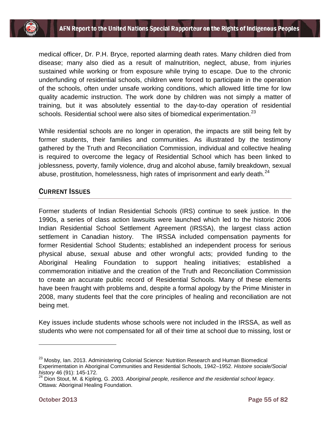medical officer, Dr. P.H. Bryce, reported alarming death rates. Many children died from disease; many also died as a result of malnutrition, neglect, abuse, from injuries sustained while working or from exposure while trying to escape. Due to the chronic underfunding of residential schools, children were forced to participate in the operation of the schools, often under unsafe working conditions, which allowed little time for low quality academic instruction. The work done by children was not simply a matter of training, but it was absolutely essential to the day-to-day operation of residential schools. Residential school were also sites of biomedical experimentation.<sup>[23](#page-55-0)</sup>

While residential schools are no longer in operation, the impacts are still being felt by former students, their families and communities. As illustrated by the testimony gathered by the Truth and Reconciliation Commission, individual and collective healing is required to overcome the legacy of Residential School which has been linked to joblessness, poverty, family violence, drug and alcohol abuse, family breakdown, sexual abuse, prostitution, homelessness, high rates of imprisonment and early death.<sup>[24](#page-55-1)</sup>

# CURRENT ISSUES

Former students of Indian Residential Schools (IRS) continue to seek justice. In the 1990s, a series of class action lawsuits were launched which led to the historic 2006 Indian Residential School Settlement Agreement (IRSSA), the largest class action settlement in Canadian history. The IRSSA included compensation payments for former Residential School Students; established an independent process for serious physical abuse, sexual abuse and other wrongful acts; provided funding to the Aboriginal Healing Foundation to support healing initiatives; established a commemoration initiative and the creation of the Truth and Reconciliation Commission to create an accurate public record of Residential Schools. Many of these elements have been fraught with problems and, despite a formal apology by the Prime Minister in 2008, many students feel that the core principles of healing and reconciliation are not being met.

Key issues include students whose schools were not included in the IRSSA, as well as students who were not compensated for all of their time at school due to missing, lost or

<span id="page-55-0"></span><sup>&</sup>lt;sup>23</sup> Mosby, Ian. 2013. Administering Colonial Science: Nutrition Research and Human Biomedical Experimentation in Aboriginal Communities and Residential Schools, 1942–1952. *Histoire sociale/Social history* 46 (91): 145-172.

<span id="page-55-1"></span><sup>24</sup> Dion Stout, M. & Kipling, G. 2003. *Aboriginal people, resilience and the residential school legacy*. Ottawa: Aboriginal Healing Foundation.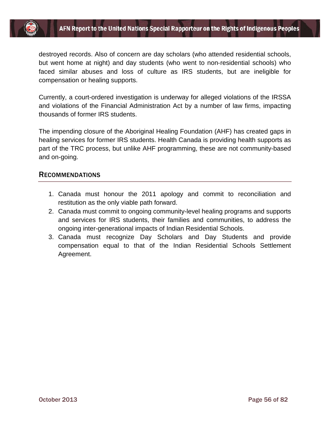

destroyed records. Also of concern are day scholars (who attended residential schools, but went home at night) and day students (who went to non-residential schools) who faced similar abuses and loss of culture as IRS students, but are ineligible for compensation or healing supports.

Currently, a court-ordered investigation is underway for alleged violations of the IRSSA and violations of the Financial Administration Act by a number of law firms, impacting thousands of former IRS students.

The impending closure of the Aboriginal Healing Foundation (AHF) has created gaps in healing services for former IRS students. Health Canada is providing health supports as part of the TRC process, but unlike AHF programming, these are not community-based and on-going.

### RECOMMENDATIONS

- 1. Canada must honour the 2011 apology and commit to reconciliation and restitution as the only viable path forward.
- 2. Canada must commit to ongoing community-level healing programs and supports and services for IRS students, their families and communities, to address the ongoing inter-generational impacts of Indian Residential Schools.
- 3. Canada must recognize Day Scholars and Day Students and provide compensation equal to that of the Indian Residential Schools Settlement Agreement.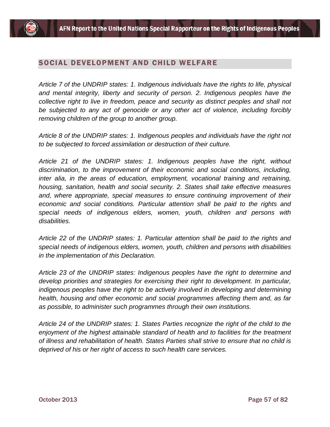## SOCIAL DEVELOPMENT AND CHILD WELFARE

*Article 7 of the UNDRIP states: 1. Indigenous individuals have the rights to life, physical*  and mental integrity, liberty and security of person. 2. Indigenous peoples have the *collective right to live in freedom, peace and security as distinct peoples and shall not be subjected to any act of genocide or any other act of violence, including forcibly removing children of the group to another group.*

*Article 8 of the UNDRIP states: 1. Indigenous peoples and individuals have the right not to be subjected to forced assimilation or destruction of their culture.*

*Article 21 of the UNDRIP states: 1. Indigenous peoples have the right, without discrimination, to the improvement of their economic and social conditions, including, inter alia, in the areas of education, employment, vocational training and retraining, housing, sanitation, health and social security. 2. States shall take effective measures*  and, where appropriate, special measures to ensure continuing improvement of their *economic and social conditions. Particular attention shall be paid to the rights and special needs of indigenous elders, women, youth, children and persons with disabilities.*

*Article 22 of the UNDRIP states: 1. Particular attention shall be paid to the rights and special needs of indigenous elders, women, youth, children and persons with disabilities in the implementation of this Declaration.*

*Article 23 of the UNDRIP states: Indigenous peoples have the right to determine and develop priorities and strategies for exercising their right to development. In particular, indigenous peoples have the right to be actively involved in developing and determining health, housing and other economic and social programmes affecting them and, as far as possible, to administer such programmes through their own institutions.*

*Article 24 of the UNDRIP states: 1. States Parties recognize the right of the child to the enjoyment of the highest attainable standard of health and to facilities for the treatment of illness and rehabilitation of health. States Parties shall strive to ensure that no child is deprived of his or her right of access to such health care services.*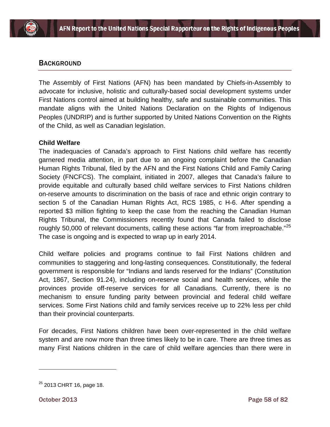## **BACKGROUND**

The Assembly of First Nations (AFN) has been mandated by Chiefs-in-Assembly to advocate for inclusive, holistic and culturally-based social development systems under First Nations control aimed at building healthy, safe and sustainable communities. This mandate aligns with the United Nations Declaration on the Rights of Indigenous Peoples (UNDRIP) and is further supported by United Nations Convention on the Rights of the Child, as well as Canadian legislation.

### **Child Welfare**

The inadequacies of Canada's approach to First Nations child welfare has recently garnered media attention, in part due to an ongoing complaint before the Canadian Human Rights Tribunal, filed by the AFN and the First Nations Child and Family Caring Society (FNCFCS). The complaint, initiated in 2007, alleges that Canada's failure to provide equitable and culturally based child welfare services to First Nations children on-reserve amounts to discrimination on the basis of race and ethnic origin contrary to section 5 of the Canadian Human Rights Act, RCS 1985, c H-6. After spending a reported \$3 million fighting to keep the case from the reaching the Canadian Human Rights Tribunal, the Commissioners recently found that Canada failed to disclose roughly 50,000 of relevant documents, calling these actions "far from irreproachable."<sup>[25](#page-58-0)</sup> The case is ongoing and is expected to wrap up in early 2014.

Child welfare policies and programs continue to fail First Nations children and communities to staggering and long-lasting consequences. Constitutionally, the federal government is responsible for "Indians and lands reserved for the Indians" (Constitution Act, 1867, Section 91.24), including on-reserve social and health services, while the provinces provide off-reserve services for all Canadians. Currently, there is no mechanism to ensure funding parity between provincial and federal child welfare services. Some First Nations child and family services receive up to 22% less per child than their provincial counterparts.

For decades, First Nations children have been over-represented in the child welfare system and are now more than three times likely to be in care. There are three times as many First Nations children in the care of child welfare agencies than there were in

<span id="page-58-0"></span> $25$  2013 CHRT 16, page 18.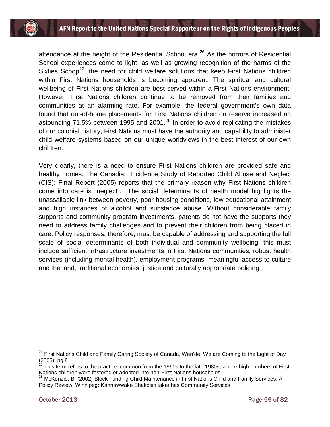attendance at the height of the Residential School era.<sup>[26](#page-59-0)</sup> As the horrors of Residential School experiences come to light, as well as growing recognition of the harms of the Sixties Scoop<sup>[27](#page-59-1)</sup>, the need for child welfare solutions that keep First Nations children within First Nations households is becoming apparent. The spiritual and cultural wellbeing of First Nations children are best served within a First Nations environment. However, First Nations children continue to be removed from their families and communities at an alarming rate. For example, the federal government's own data found that out-of-home placements for First Nations children on reserve increased an astounding 71.5% between 1995 and 2001. $^{28}$  $^{28}$  $^{28}$  In order to avoid replicating the mistakes of our colonial history, First Nations must have the authority and capability to administer child welfare systems based on our unique worldviews in the best interest of our own children.

Very clearly, there is a need to ensure First Nations children are provided safe and healthy homes. The Canadian Incidence Study of Reported Child Abuse and Neglect (CIS): Final Report (2005) reports that the primary reason why First Nations children come into care is "neglect". The social determinants of health model highlights the unassailable link between poverty, poor housing conditions, low educational attainment and high instances of alcohol and substance abuse. Without considerable family supports and community program investments, parents do not have the supports they need to address family challenges and to prevent their children from being placed in care. Policy responses, therefore, must be capable of addressing and supporting the full scale of social determinants of both individual and community wellbeing; this must include sufficient infrastructure investments in First Nations communities, robust health services (including mental health), employment programs, meaningful access to culture and the land, traditional economies, justice and culturally appropriate policing.

<span id="page-59-0"></span><sup>&</sup>lt;sup>26</sup> First Nations Child and Family Caring Society of Canada, Wen'de: We are Coming to the Light of Day  $(2005)$ , pg.8.

<span id="page-59-1"></span><sup>27</sup> This term refers to the practice, common from the 1960s to the late 1980s, where high numbers of First Nations children were fostered or adopted into non-First Nations households.

<span id="page-59-2"></span><sup>28</sup> McKenzie, B. (2002) Block Funding Child Maintenance in First Nations Child and Family Services: A Policy Review. Winnipeg: Kahnawwake Shakotiia'takenhas Community Services.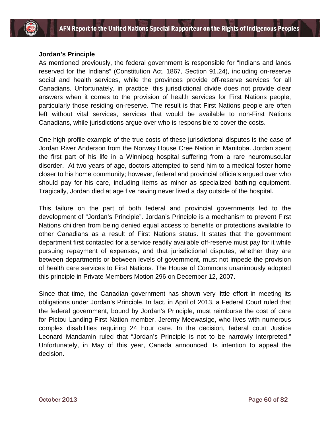#### **Jordan's Principle**

As mentioned previously, the federal government is responsible for "Indians and lands reserved for the Indians" (Constitution Act, 1867, Section 91.24), including on-reserve social and health services, while the provinces provide off-reserve services for all Canadians. Unfortunately, in practice, this jurisdictional divide does not provide clear answers when it comes to the provision of health services for First Nations people, particularly those residing on-reserve. The result is that First Nations people are often left without vital services, services that would be available to non-First Nations Canadians, while jurisdictions argue over who is responsible to cover the costs.

One high profile example of the true costs of these jurisdictional disputes is the case of Jordan River Anderson from the Norway House Cree Nation in Manitoba. Jordan spent the first part of his life in a Winnipeg hospital suffering from a rare neuromuscular disorder. At two years of age, doctors attempted to send him to a medical foster home closer to his home community; however, federal and provincial officials argued over who should pay for his care, including items as minor as specialized bathing equipment. Tragically, Jordan died at age five having never lived a day outside of the hospital.

This failure on the part of both federal and provincial governments led to the development of "Jordan's Principle". Jordan's Principle is a mechanism to prevent First Nations children from being denied equal access to benefits or protections available to other Canadians as a result of First Nations status. It states that the government department first contacted for a service readily available off-reserve must pay for it while pursuing repayment of expenses, and that jurisdictional disputes, whether they are between departments or between levels of government, must not impede the provision of health care services to First Nations. The House of Commons unanimously adopted this principle in Private Members Motion 296 on December 12, 2007.

Since that time, the Canadian government has shown very little effort in meeting its obligations under Jordan's Principle. In fact, in April of 2013, a Federal Court ruled that the federal government, bound by Jordan's Principle, must reimburse the cost of care for Pictou Landing First Nation member, Jeremy Meewasige, who lives with numerous complex disabilities requiring 24 hour care. In the decision, federal court Justice Leonard Mandamin ruled that "Jordan's Principle is not to be narrowly interpreted." Unfortunately, in May of this year, Canada announced its intention to appeal the decision.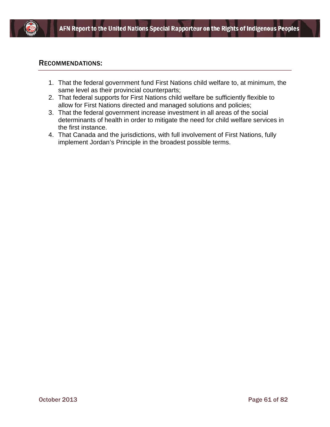

### RECOMMENDATIONS:

- 1. That the federal government fund First Nations child welfare to, at minimum, the same level as their provincial counterparts;
- 2. That federal supports for First Nations child welfare be sufficiently flexible to allow for First Nations directed and managed solutions and policies;
- 3. That the federal government increase investment in all areas of the social determinants of health in order to mitigate the need for child welfare services in the first instance.
- 4. That Canada and the jurisdictions, with full involvement of First Nations, fully implement Jordan's Principle in the broadest possible terms.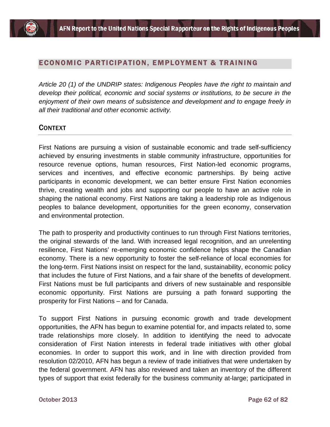## ECONOMIC PARTICIPATION, EMPLOYMENT & TRAINING

*Article 20 (1) of the UNDRIP states: Indigenous Peoples have the right to maintain and develop their political, economic and social systems or institutions, to be secure in the enjoyment of their own means of subsistence and development and to engage freely in all their traditional and other economic activity.*

## **CONTEXT**

First Nations are pursuing a vision of sustainable economic and trade self-sufficiency achieved by ensuring investments in stable community infrastructure, opportunities for resource revenue options, human resources, First Nation-led economic programs, services and incentives, and effective economic partnerships. By being active participants in economic development, we can better ensure First Nation economies thrive, creating wealth and jobs and supporting our people to have an active role in shaping the national economy. First Nations are taking a leadership role as Indigenous peoples to balance development, opportunities for the green economy, conservation and environmental protection.

The path to prosperity and productivity continues to run through First Nations territories, the original stewards of the land. With increased legal recognition, and an unrelenting resilience, First Nations' re-emerging economic confidence helps shape the Canadian economy. There is a new opportunity to foster the self-reliance of local economies for the long-term. First Nations insist on respect for the land, sustainability, economic policy that includes the future of First Nations, and a fair share of the benefits of development. First Nations must be full participants and drivers of new sustainable and responsible economic opportunity. First Nations are pursuing a path forward supporting the prosperity for First Nations – and for Canada.

To support First Nations in pursuing economic growth and trade development opportunities, the AFN has begun to examine potential for, and impacts related to, some trade relationships more closely. In addition to identifying the need to advocate consideration of First Nation interests in federal trade initiatives with other global economies. In order to support this work, and in line with direction provided from resolution 02/2010, AFN has begun a review of trade initiatives that were undertaken by the federal government. AFN has also reviewed and taken an inventory of the different types of support that exist federally for the business community at-large; participated in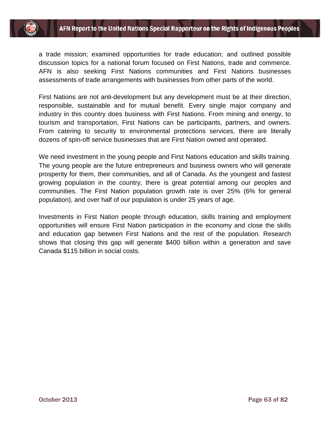# AFN Report to the United Nations Special Rapporteur on the Rights of Indigenous Peoples

a trade mission; examined opportunities for trade education; and outlined possible discussion topics for a national forum focused on First Nations, trade and commerce. AFN is also seeking First Nations communities and First Nations businesses assessments of trade arrangements with businesses from other parts of the world.

First Nations are not anti-development but any development must be at their direction, responsible, sustainable and for mutual benefit. Every single major company and industry in this country does business with First Nations. From mining and energy, to tourism and transportation, First Nations can be participants, partners, and owners. From catering to security to environmental protections services, there are literally dozens of spin-off service businesses that are First Nation owned and operated.

We need investment in the young people and First Nations education and skills training. The young people are the future entrepreneurs and business owners who will generate prosperity for them, their communities, and all of Canada. As the youngest and fastest growing population in the country, there is great potential among our peoples and communities. The First Nation population growth rate is over 25% (6% for general population), and over half of our population is under 25 years of age.

Investments in First Nation people through education, skills training and employment opportunities will ensure First Nation participation in the economy and close the skills and education gap between First Nations and the rest of the population. Research shows that closing this gap will generate \$400 billion within a generation and save Canada \$115 billion in social costs.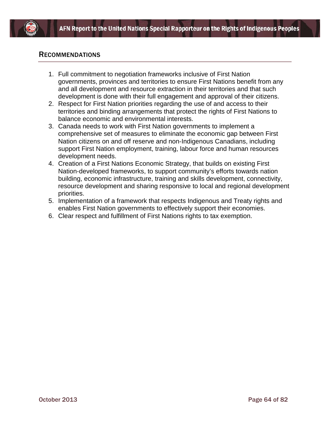

## RECOMMENDATIONS

- 1. Full commitment to negotiation frameworks inclusive of First Nation governments, provinces and territories to ensure First Nations benefit from any and all development and resource extraction in their territories and that such development is done with their full engagement and approval of their citizens.
- 2. Respect for First Nation priorities regarding the use of and access to their territories and binding arrangements that protect the rights of First Nations to balance economic and environmental interests.
- 3. Canada needs to work with First Nation governments to implement a comprehensive set of measures to eliminate the economic gap between First Nation citizens on and off reserve and non-Indigenous Canadians, including support First Nation employment, training, labour force and human resources development needs.
- 4. Creation of a First Nations Economic Strategy, that builds on existing First Nation-developed frameworks, to support community's efforts towards nation building, economic infrastructure, training and skills development, connectivity, resource development and sharing responsive to local and regional development priorities.
- 5. Implementation of a framework that respects Indigenous and Treaty rights and enables First Nation governments to effectively support their economies.
- 6. Clear respect and fulfillment of First Nations rights to tax exemption.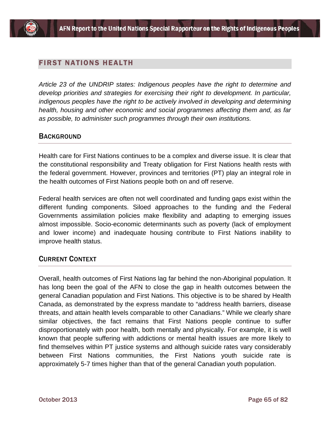## FIRST NATIONS HEALTH

*Article 23 of the UNDRIP states: Indigenous peoples have the right to determine and develop priorities and strategies for exercising their right to development. In particular, indigenous peoples have the right to be actively involved in developing and determining health, housing and other economic and social programmes affecting them and, as far as possible, to administer such programmes through their own institutions.*

## **BACKGROUND**

Health care for First Nations continues to be a complex and diverse issue. It is clear that the constitutional responsibility and Treaty obligation for First Nations health rests with the federal government. However, provinces and territories (PT) play an integral role in the health outcomes of First Nations people both on and off reserve.

Federal health services are often not well coordinated and funding gaps exist within the different funding components. Siloed approaches to the funding and the Federal Governments assimilation policies make flexibility and adapting to emerging issues almost impossible. Socio-economic determinants such as poverty (lack of employment and lower income) and inadequate housing contribute to First Nations inability to improve health status.

## CURRENT CONTEXT

Overall, health outcomes of First Nations lag far behind the non-Aboriginal population. It has long been the goal of the AFN to close the gap in health outcomes between the general Canadian population and First Nations. This objective is to be shared by Health Canada, as demonstrated by the express mandate to "address health barriers, disease threats, and attain health levels comparable to other Canadians." While we clearly share similar objectives, the fact remains that First Nations people continue to suffer disproportionately with poor health, both mentally and physically. For example, it is well known that people suffering with addictions or mental health issues are more likely to find themselves within PT justice systems and although suicide rates vary considerably between First Nations communities, the First Nations youth suicide rate is approximately 5-7 times higher than that of the general Canadian youth population.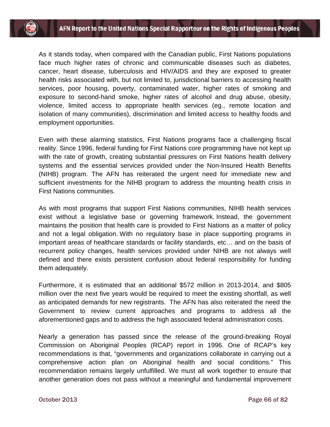As it stands today, when compared with the Canadian public, First Nations populations face much higher rates of chronic and communicable diseases such as diabetes, cancer, heart disease, tuberculosis and HIV/AIDS and they are exposed to greater health risks associated with, but not limited to, jurisdictional barriers to accessing health services, poor housing, poverty, contaminated water, higher rates of smoking and exposure to second-hand smoke, higher rates of alcohol and drug abuse, obesity, violence, limited access to appropriate health services (eg., remote location and isolation of many communities), discrimination and limited access to healthy foods and employment opportunities.

Even with these alarming statistics, First Nations programs face a challenging fiscal reality. Since 1996, federal funding for First Nations core programming have not kept up with the rate of growth, creating substantial pressures on First Nations health delivery systems and the essential services provided under the Non-Insured Health Benefits (NIHB) program. The AFN has reiterated the urgent need for immediate new and sufficient investments for the NIHB program to address the mounting health crisis in First Nations communities.

As with most programs that support First Nations communities, NIHB health services exist without a legislative base or governing framework. Instead, the government maintains the position that health care is provided to First Nations as a matter of policy and not a legal obligation. With no regulatory base in place supporting programs in important areas of healthcare standards or facility standards, etc… and on the basis of recurrent policy changes, health services provided under NIHB are not always well defined and there exists persistent confusion about federal responsibility for funding them adequately.

Furthermore, it is estimated that an additional \$572 million in 2013-2014, and \$805 million over the next five years would be required to meet the existing shortfall, as well as anticipated demands for new registrants. The AFN has also reiterated the need the Government to review current approaches and programs to address all the aforementioned gaps and to address the high associated federal administration costs.

Nearly a generation has passed since the release of the ground-breaking Royal Commission on Aboriginal Peoples (RCAP) report in 1996. One of RCAP's key recommendations is that, "governments and organizations collaborate in carrying out a comprehensive action plan on Aboriginal health and social conditions." This recommendation remains largely unfulfilled. We must all work together to ensure that another generation does not pass without a meaningful and fundamental improvement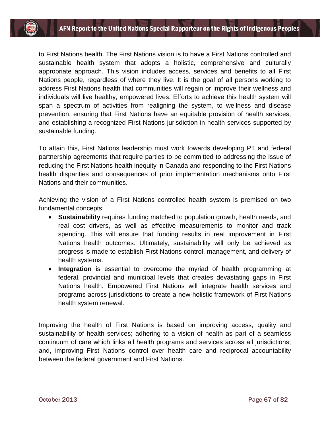to First Nations health. The First Nations vision is to have a First Nations controlled and sustainable health system that adopts a holistic, comprehensive and culturally appropriate approach. This vision includes access, services and benefits to all First Nations people, regardless of where they live. It is the goal of all persons working to address First Nations health that communities will regain or improve their wellness and individuals will live healthy, empowered lives. Efforts to achieve this health system will span a spectrum of activities from realigning the system, to wellness and disease prevention, ensuring that First Nations have an equitable provision of health services, and establishing a recognized First Nations jurisdiction in health services supported by sustainable funding.

To attain this, First Nations leadership must work towards developing PT and federal partnership agreements that require parties to be committed to addressing the issue of reducing the First Nations health inequity in Canada and responding to the First Nations health disparities and consequences of prior implementation mechanisms onto First Nations and their communities.

Achieving the vision of a First Nations controlled health system is premised on two fundamental concepts:

- **Sustainability** requires funding matched to population growth, health needs, and real cost drivers, as well as effective measurements to monitor and track spending. This will ensure that funding results in real improvement in First Nations health outcomes. Ultimately, sustainability will only be achieved as progress is made to establish First Nations control, management, and delivery of health systems.
- **Integration** is essential to overcome the myriad of health programming at federal, provincial and municipal levels that creates devastating gaps in First Nations health. Empowered First Nations will integrate health services and programs across jurisdictions to create a new holistic framework of First Nations health system renewal.

Improving the health of First Nations is based on improving access, quality and sustainability of health services; adhering to a vision of health as part of a seamless continuum of care which links all health programs and services across all jurisdictions; and, improving First Nations control over health care and reciprocal accountability between the federal government and First Nations.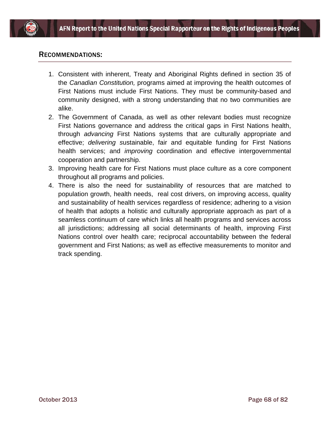

## RECOMMENDATIONS:

- 1. Consistent with inherent, Treaty and Aboriginal Rights defined in section 35 of the *Canadian Constitution,* programs aimed at improving the health outcomes of First Nations must include First Nations. They must be community-based and community designed, with a strong understanding that no two communities are alike.
- 2. The Government of Canada, as well as other relevant bodies must recognize First Nations governance and address the critical gaps in First Nations health, through *advancing* First Nations systems that are culturally appropriate and effective; *delivering s*ustainable, fair and equitable funding for First Nations health services; and *improving* coordination and effective intergovernmental cooperation and partnership.
- 3. Improving health care for First Nations must place culture as a core component throughout all programs and policies.
- 4. There is also the need for sustainability of resources that are matched to population growth, health needs, real cost drivers, on improving access, quality and sustainability of health services regardless of residence; adhering to a vision of health that adopts a holistic and culturally appropriate approach as part of a seamless continuum of care which links all health programs and services across all jurisdictions; addressing all social determinants of health, improving First Nations control over health care; reciprocal accountability between the federal government and First Nations; as well as effective measurements to monitor and track spending.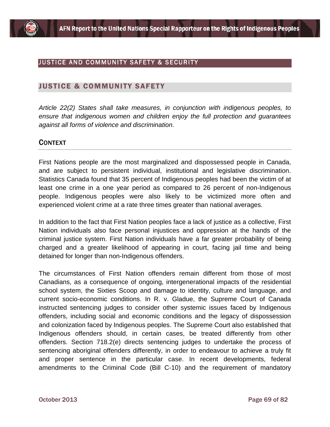

## JUSTICE AND COMMUNITY SAFETY & SECURITY

### JUSTICE & COMMUNITY SAFETY

*Article 22(2) States shall take measures, in conjunction with indigenous peoples, to ensure that indigenous women and children enjoy the full protection and guarantees against all forms of violence and discrimination.*

### CONTEXT

First Nations people are the most marginalized and dispossessed people in Canada, and are subject to persistent individual, institutional and legislative discrimination. Statistics Canada found that 35 percent of Indigenous peoples had been the victim of at least one crime in a one year period as compared to 26 percent of non-Indigenous people. Indigenous peoples were also likely to be victimized more often and experienced violent crime at a rate three times greater than national averages.

In addition to the fact that First Nation peoples face a lack of justice as a collective, First Nation individuals also face personal injustices and oppression at the hands of the criminal justice system. First Nation individuals have a far greater probability of being charged and a greater likelihood of appearing in court, facing jail time and being detained for longer than non-Indigenous offenders.

The circumstances of First Nation offenders remain different from those of most Canadians, as a consequence of ongoing, intergenerational impacts of the residential school system, the Sixties Scoop and damage to identity, culture and language, and current socio-economic conditions. In R. v. Gladue, the Supreme Court of Canada instructed sentencing judges to consider other systemic issues faced by Indigenous offenders, including social and economic conditions and the legacy of dispossession and colonization faced by Indigenous peoples. The Supreme Court also established that Indigenous offenders should, in certain cases, be treated differently from other offenders. Section 718.2(e) directs sentencing judges to undertake the process of sentencing aboriginal offenders differently, in order to endeavour to achieve a truly fit and proper sentence in the particular case. In recent developments, federal amendments to the Criminal Code (Bill C-10) and the requirement of mandatory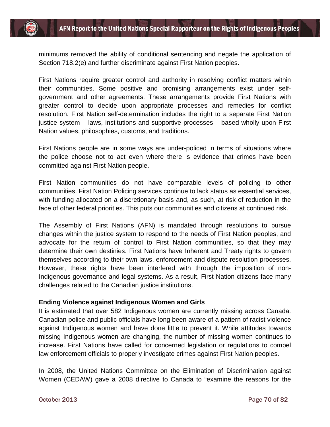

minimums removed the ability of conditional sentencing and negate the application of Section 718.2(e) and further discriminate against First Nation peoples.

First Nations require greater control and authority in resolving conflict matters within their communities. Some positive and promising arrangements exist under selfgovernment and other agreements. These arrangements provide First Nations with greater control to decide upon appropriate processes and remedies for conflict resolution. First Nation self-determination includes the right to a separate First Nation justice system – laws, institutions and supportive processes – based wholly upon First Nation values, philosophies, customs, and traditions.

First Nations people are in some ways are under-policed in terms of situations where the police choose not to act even where there is evidence that crimes have been committed against First Nation people.

First Nation communities do not have comparable levels of policing to other communities. First Nation Policing services continue to lack status as essential services, with funding allocated on a discretionary basis and, as such, at risk of reduction in the face of other federal priorities. This puts our communities and citizens at continued risk.

The Assembly of First Nations (AFN) is mandated through resolutions to pursue changes within the justice system to respond to the needs of First Nation peoples, and advocate for the return of control to First Nation communities, so that they may determine their own destinies. First Nations have Inherent and Treaty rights to govern themselves according to their own laws, enforcement and dispute resolution processes. However, these rights have been interfered with through the imposition of non-Indigenous governance and legal systems. As a result, First Nation citizens face many challenges related to the Canadian justice institutions.

#### **Ending Violence against Indigenous Women and Girls**

It is estimated that over 582 Indigenous women are currently missing across Canada. Canadian police and public officials have long been aware of a pattern of racist violence against Indigenous women and have done little to prevent it. While attitudes towards missing Indigenous women are changing, the number of missing women continues to increase. First Nations have called for concerned legislation or regulations to compel law enforcement officials to properly investigate crimes against First Nation peoples.

In 2008, the United Nations Committee on the Elimination of Discrimination against Women (CEDAW) gave a 2008 directive to Canada to "examine the reasons for the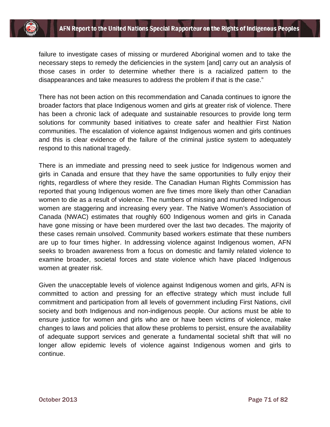

failure to investigate cases of missing or murdered Aboriginal women and to take the necessary steps to remedy the deficiencies in the system [and] carry out an analysis of those cases in order to determine whether there is a racialized pattern to the disappearances and take measures to address the problem if that is the case."

There has not been action on this recommendation and Canada continues to ignore the broader factors that place Indigenous women and girls at greater risk of violence. There has been a chronic lack of adequate and sustainable resources to provide long term solutions for community based initiatives to create safer and healthier First Nation communities. The escalation of violence against Indigenous women and girls continues and this is clear evidence of the failure of the criminal justice system to adequately respond to this national tragedy.

There is an immediate and pressing need to seek justice for Indigenous women and girls in Canada and ensure that they have the same opportunities to fully enjoy their rights, regardless of where they reside. The Canadian Human Rights Commission has reported that young Indigenous women are five times more likely than other Canadian women to die as a result of violence. The numbers of missing and murdered Indigenous women are staggering and increasing every year. The Native Women's Association of Canada (NWAC) estimates that roughly 600 Indigenous women and girls in Canada have gone missing or have been murdered over the last two decades. The majority of these cases remain unsolved. Community based workers estimate that these numbers are up to four times higher. In addressing violence against Indigenous women, AFN seeks to broaden awareness from a focus on domestic and family related violence to examine broader, societal forces and state violence which have placed Indigenous women at greater risk.

Given the unacceptable levels of violence against Indigenous women and girls, AFN is committed to action and pressing for an effective strategy which must include full commitment and participation from all levels of government including First Nations, civil society and both Indigenous and non-indigenous people. Our actions must be able to ensure justice for women and girls who are or have been victims of violence, make changes to laws and policies that allow these problems to persist, ensure the availability of adequate support services and generate a fundamental societal shift that will no longer allow epidemic levels of violence against Indigenous women and girls to continue.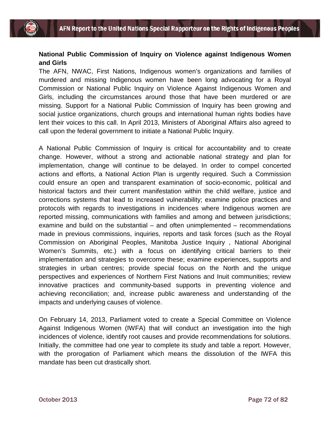# **National Public Commission of Inquiry on Violence against Indigenous Women and Girls**

The AFN, NWAC, First Nations, Indigenous women's organizations and families of murdered and missing Indigenous women have been long advocating for a Royal Commission or National Public Inquiry on Violence Against Indigenous Women and Girls, including the circumstances around those that have been murdered or are missing. Support for a National Public Commission of Inquiry has been growing and social justice organizations, church groups and international human rights bodies have lent their voices to this call. In April 2013, Ministers of Aboriginal Affairs also agreed to call upon the federal government to initiate a National Public Inquiry.

A National Public Commission of Inquiry is critical for accountability and to create change. However, without a strong and actionable national strategy and plan for implementation, change will continue to be delayed. In order to compel concerted actions and efforts, a National Action Plan is urgently required. Such a Commission could ensure an open and transparent examination of socio-economic, political and historical factors and their current manifestation within the child welfare, justice and corrections systems that lead to increased vulnerability; examine police practices and protocols with regards to investigations in incidences where Indigenous women are reported missing, communications with families and among and between jurisdictions; examine and build on the substantial – and often unimplemented – recommendations made in previous commissions, inquiries, reports and task forces (such as the Royal Commission on Aboriginal Peoples, Manitoba Justice Inquiry , National Aboriginal Women's Summits, etc.) with a focus on identifying critical barriers to their implementation and strategies to overcome these; examine experiences, supports and strategies in urban centres; provide special focus on the North and the unique perspectives and experiences of Northern First Nations and Inuit communities; review innovative practices and community-based supports in preventing violence and achieving reconciliation; and, increase public awareness and understanding of the impacts and underlying causes of violence.

On February 14, 2013, Parliament voted to create a Special Committee on Violence Against Indigenous Women (IWFA) that will conduct an investigation into the high incidences of violence, identify root causes and provide recommendations for solutions. Initially, the committee had one year to complete its study and table a report. However, with the prorogation of Parliament which means the dissolution of the IWFA this mandate has been cut drastically short.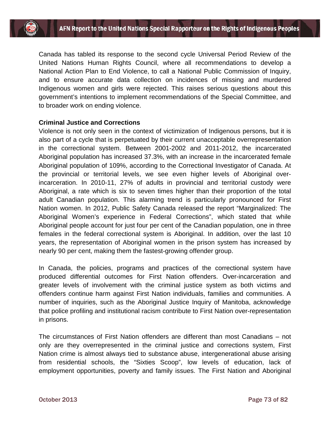Canada has tabled its response to the second cycle Universal Period Review of the United Nations Human Rights Council, where all recommendations to develop a National Action Plan to End Violence, to call a National Public Commission of Inquiry, and to ensure accurate data collection on incidences of missing and murdered Indigenous women and girls were rejected. This raises serious questions about this government's intentions to implement recommendations of the Special Committee, and to broader work on ending violence.

### **Criminal Justice and Corrections**

Violence is not only seen in the context of victimization of Indigenous persons, but it is also part of a cycle that is perpetuated by their current unacceptable overrepresentation in the correctional system. Between 2001-2002 and 2011-2012, the incarcerated Aboriginal population has increased 37.3%, with an increase in the incarcerated female Aboriginal population of 109%, according to the Correctional Investigator of Canada. At the provincial or territorial levels, we see even higher levels of Aboriginal overincarceration. In 2010-11, 27% of adults in provincial and territorial custody were Aboriginal, a rate which is six to seven times higher than their proportion of the total adult Canadian population. This alarming trend is particularly pronounced for First Nation women. In 2012, Public Safety Canada released the report "Marginalized: The Aboriginal Women's experience in Federal Corrections", which stated that while Aboriginal people account for just four per cent of the Canadian population, one in three females in the federal correctional system is Aboriginal. In addition, over the last 10 years, the representation of Aboriginal women in the prison system has increased by nearly 90 per cent, making them the fastest-growing offender group.

In Canada, the policies, programs and practices of the correctional system have produced differential outcomes for First Nation offenders. Over-incarceration and greater levels of involvement with the criminal justice system as both victims and offenders continue harm against First Nation individuals, families and communities. A number of inquiries, such as the Aboriginal Justice Inquiry of Manitoba, acknowledge that police profiling and institutional racism contribute to First Nation over-representation in prisons.

The circumstances of First Nation offenders are different than most Canadians – not only are they overrepresented in the criminal justice and corrections system, First Nation crime is almost always tied to substance abuse, intergenerational abuse arising from residential schools, the "Sixties Scoop", low levels of education, lack of employment opportunities, poverty and family issues. The First Nation and Aboriginal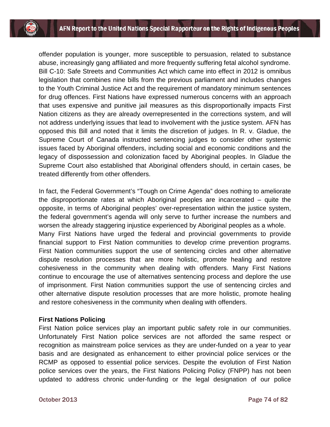offender population is younger, more susceptible to persuasion, related to substance abuse, increasingly gang affiliated and more frequently suffering fetal alcohol syndrome. Bill C-10: Safe Streets and Communities Act which came into effect in 2012 is omnibus legislation that combines nine bills from the previous parliament and includes changes to the Youth Criminal Justice Act and the requirement of mandatory minimum sentences for drug offences. First Nations have expressed numerous concerns with an approach that uses expensive and punitive jail measures as this disproportionally impacts First Nation citizens as they are already overrepresented in the corrections system, and will not address underlying issues that lead to involvement with the justice system. AFN has opposed this Bill and noted that it limits the discretion of judges. In R. v. Gladue, the Supreme Court of Canada instructed sentencing judges to consider other systemic issues faced by Aboriginal offenders, including social and economic conditions and the legacy of dispossession and colonization faced by Aboriginal peoples. In Gladue the Supreme Court also established that Aboriginal offenders should, in certain cases, be treated differently from other offenders.

In fact, the Federal Government's "Tough on Crime Agenda" does nothing to ameliorate the disproportionate rates at which Aboriginal peoples are incarcerated – quite the opposite, in terms of Aboriginal peoples' over-representation within the justice system, the federal government's agenda will only serve to further increase the numbers and worsen the already staggering injustice experienced by Aboriginal peoples as a whole. Many First Nations have urged the federal and provincial governments to provide financial support to First Nation communities to develop crime prevention programs. First Nation communities support the use of sentencing circles and other alternative dispute resolution processes that are more holistic, promote healing and restore cohesiveness in the community when dealing with offenders. Many First Nations continue to encourage the use of alternatives sentencing process and deplore the use of imprisonment. First Nation communities support the use of sentencing circles and other alternative dispute resolution processes that are more holistic, promote healing and restore cohesiveness in the community when dealing with offenders.

#### **First Nations Policing**

First Nation police services play an important public safety role in our communities. Unfortunately First Nation police services are not afforded the same respect or recognition as mainstream police services as they are under-funded on a year to year basis and are designated as enhancement to either provincial police services or the RCMP as opposed to essential police services. Despite the evolution of First Nation police services over the years, the First Nations Policing Policy (FNPP) has not been updated to address chronic under-funding or the legal designation of our police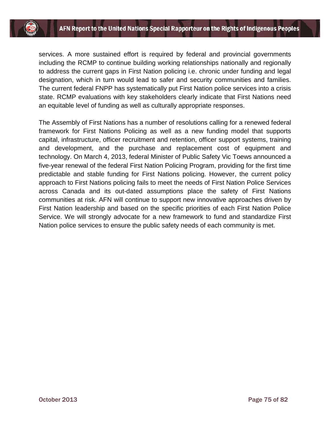services. A more sustained effort is required by federal and provincial governments including the RCMP to continue building working relationships nationally and regionally to address the current gaps in First Nation policing i.e. chronic under funding and legal designation, which in turn would lead to safer and security communities and families. The current federal FNPP has systematically put First Nation police services into a crisis state. RCMP evaluations with key stakeholders clearly indicate that First Nations need an equitable level of funding as well as culturally appropriate responses.

The Assembly of First Nations has a number of resolutions calling for a renewed federal framework for First Nations Policing as well as a new funding model that supports capital, infrastructure, officer recruitment and retention, officer support systems, training and development, and the purchase and replacement cost of equipment and technology. On March 4, 2013, federal Minister of Public Safety Vic Toews announced a five-year renewal of the federal First Nation Policing Program, providing for the first time predictable and stable funding for First Nations policing. However, the current policy approach to First Nations policing fails to meet the needs of First Nation Police Services across Canada and its out-dated assumptions place the safety of First Nations communities at risk. AFN will continue to support new innovative approaches driven by First Nation leadership and based on the specific priorities of each First Nation Police Service. We will strongly advocate for a new framework to fund and standardize First Nation police services to ensure the public safety needs of each community is met.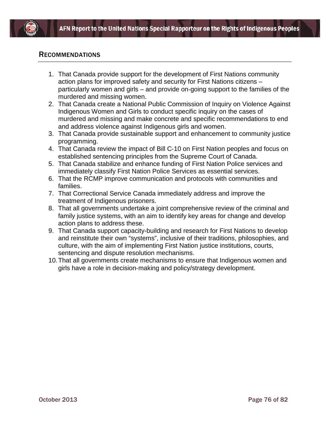

## RECOMMENDATIONS

- 1. That Canada provide support for the development of First Nations community action plans for improved safety and security for First Nations citizens – particularly women and girls – and provide on-going support to the families of the murdered and missing women.
- 2. That Canada create a National Public Commission of Inquiry on Violence Against Indigenous Women and Girls to conduct specific inquiry on the cases of murdered and missing and make concrete and specific recommendations to end and address violence against Indigenous girls and women.
- 3. That Canada provide sustainable support and enhancement to community justice programming.
- 4. That Canada review the impact of Bill C-10 on First Nation peoples and focus on established sentencing principles from the Supreme Court of Canada.
- 5. That Canada stabilize and enhance funding of First Nation Police services and immediately classify First Nation Police Services as essential services.
- 6. That the RCMP improve communication and protocols with communities and families.
- 7. That Correctional Service Canada immediately address and improve the treatment of Indigenous prisoners.
- 8. That all governments undertake a joint comprehensive review of the criminal and family justice systems, with an aim to identify key areas for change and develop action plans to address these.
- 9. That Canada support capacity-building and research for First Nations to develop and reinstitute their own "systems", inclusive of their traditions, philosophies, and culture, with the aim of implementing First Nation justice institutions, courts, sentencing and dispute resolution mechanisms.
- 10.That all governments create mechanisms to ensure that Indigenous women and girls have a role in decision-making and policy/strategy development.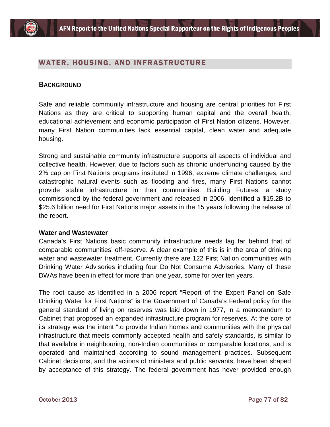

# WATER, HOUSING, AND INFRASTRUCTURE

## **BACKGROUND**

Safe and reliable community infrastructure and housing are central priorities for First Nations as they are critical to supporting human capital and the overall health, educational achievement and economic participation of First Nation citizens. However, many First Nation communities lack essential capital, clean water and adequate housing.

Strong and sustainable community infrastructure supports all aspects of individual and collective health. However, due to factors such as chronic underfunding caused by the 2% cap on First Nations programs instituted in 1996, extreme climate challenges, and catastrophic natural events such as flooding and fires, many First Nations cannot provide stable infrastructure in their communities. Building Futures, a study commissioned by the federal government and released in 2006, identified a \$15.2B to \$25.6 billion need for First Nations major assets in the 15 years following the release of the report.

#### **Water and Wastewater**

Canada's First Nations basic community infrastructure needs lag far behind that of comparable communities' off-reserve. A clear example of this is in the area of drinking water and wastewater treatment. Currently there are 122 First Nation communities with Drinking Water Advisories including four Do Not Consume Advisories. Many of these DWAs have been in effect for more than one year, some for over ten years.

The root cause as identified in a 2006 report "Report of the Expert Panel on Safe Drinking Water for First Nations" is the Government of Canada's Federal policy for the general standard of living on reserves was laid down in 1977, in a memorandum to Cabinet that proposed an expanded infrastructure program for reserves. At the core of its strategy was the intent "to provide Indian homes and communities with the physical infrastructure that meets commonly accepted health and safety standards, is similar to that available in neighbouring, non-Indian communities or comparable locations, and is operated and maintained according to sound management practices. Subsequent Cabinet decisions, and the actions of ministers and public servants, have been shaped by acceptance of this strategy. The federal government has never provided enough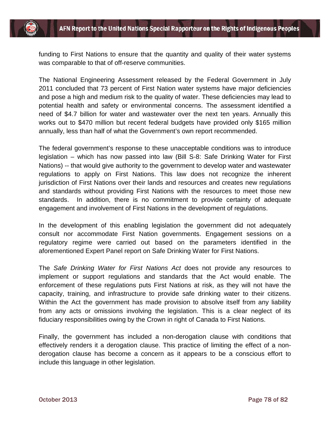funding to First Nations to ensure that the quantity and quality of their water systems was comparable to that of off-reserve communities.

The National Engineering Assessment released by the Federal Government in July 2011 concluded that 73 percent of First Nation water systems have major deficiencies and pose a high and medium risk to the quality of water. These deficiencies may lead to potential health and safety or environmental concerns. The assessment identified a need of \$4.7 billion for water and wastewater over the next ten years. Annually this works out to \$470 million but recent federal budgets have provided only \$165 million annually, less than half of what the Government's own report recommended.

The federal government's response to these unacceptable conditions was to introduce legislation – which has now passed into law (Bill S-8: Safe Drinking Water for First Nations) -- that would give authority to the government to develop water and wastewater regulations to apply on First Nations. This law does not recognize the inherent jurisdiction of First Nations over their lands and resources and creates new regulations and standards without providing First Nations with the resources to meet those new standards. In addition, there is no commitment to provide certainty of adequate engagement and involvement of First Nations in the development of regulations.

In the development of this enabling legislation the government did not adequately consult nor accommodate First Nation governments. Engagement sessions on a regulatory regime were carried out based on the parameters identified in the aforementioned Expert Panel report on Safe Drinking Water for First Nations.

The *Safe Drinking Water for First Nations Act* does not provide any resources to implement or support regulations and standards that the Act would enable. The enforcement of these regulations puts First Nations at risk, as they will not have the capacity, training, and infrastructure to provide safe drinking water to their citizens. Within the Act the government has made provision to absolve itself from any liability from any acts or omissions involving the legislation. This is a clear neglect of its fiduciary responsibilities owing by the Crown in right of Canada to First Nations.

Finally, the government has included a non-derogation clause with conditions that effectively renders it a derogation clause. This practice of limiting the effect of a nonderogation clause has become a concern as it appears to be a conscious effort to include this language in other legislation.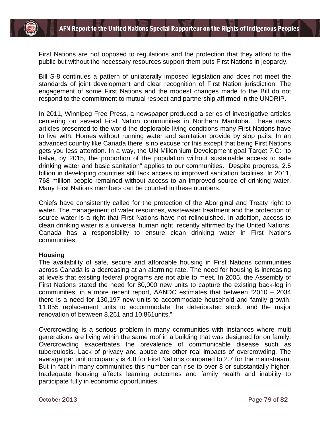First Nations are not opposed to regulations and the protection that they afford to the public but without the necessary resources support them puts First Nations in jeopardy.

Bill S-8 continues a pattern of unilaterally imposed legislation and does not meet the standards of joint development and clear recognition of First Nation jurisdiction. The engagement of some First Nations and the modest changes made to the Bill do not respond to the commitment to mutual respect and partnership affirmed in the UNDRIP.

In 2011, Winnipeg Free Press, a newspaper produced a series of investigative articles centering on several First Nation communities in Northern Manitoba. These news articles presented to the world the deplorable living conditions many First Nations have to live with. Homes without running water and sanitation provide by slop pails. In an advanced country like Canada there is no excuse for this except that being First Nations gets you less attention. In a way, the UN Millennium Development goal Target 7.C: "to halve, by 2015, the proportion of the population without sustainable access to safe drinking water and basic sanitation" applies to our communities. Despite progress, 2.5 billion in developing countries still lack access to improved sanitation facilities. In 2011, 768 million people remained without access to an improved source of drinking water. Many First Nations members can be counted in these numbers.

Chiefs have consistently called for the protection of the Aboriginal and Treaty right to water. The management of water resources, wastewater treatment and the protection of source water is a right that First Nations have not relinquished. In addition, access to clean drinking water is a universal human right, recently affirmed by the United Nations. Canada has a responsibility to ensure clean drinking water in First Nations communities.

#### **Housing**

The availability of safe, secure and affordable housing in First Nations communities across Canada is a decreasing at an alarming rate. The need for housing is increasing at levels that existing federal programs are not able to meet. In 2005, the Assembly of First Nations stated the need for 80,000 new units to capture the existing back-log in communities; in a more recent report, AANDC estimates that between "2010 – 2034 there is a need for 130,197 new units to accommodate household and family growth, 11,855 replacement units to accommodate the deteriorated stock, and the major renovation of between 8,261 and 10,861units."

Overcrowding is a serious problem in many communities with instances where multi generations are living within the same roof in a building that was designed for on family. Overcrowding exacerbates the prevalence of communicable disease such as tuberculosis. Lack of privacy and abuse are other real impacts of overcrowding. The average per unit occupancy is 4.8 for First Nations compared to 2.7 for the mainstream. But in fact in many communities this number can rise to over 8 or substantially higher. Inadequate housing affects learning outcomes and family health and inability to participate fully in economic opportunities.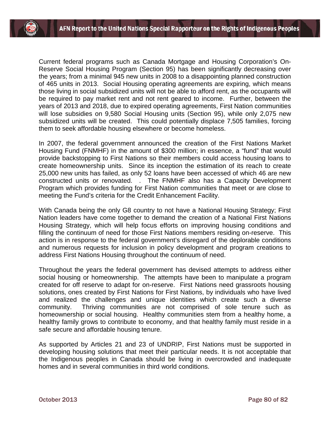Current federal programs such as Canada Mortgage and Housing Corporation's On-Reserve Social Housing Program (Section 95) has been significantly decreasing over the years; from a minimal 945 new units in 2008 to a disappointing planned construction of 465 units in 2013. Social Housing operating agreements are expiring, which means those living in social subsidized units will not be able to afford rent, as the occupants will be required to pay market rent and not rent geared to income. Further, between the years of 2013 and 2018, due to expired operating agreements, First Nation communities will lose subsidies on 9,580 Social Housing units (Section 95), while only 2,075 new subsidized units will be created. This could potentially displace 7,505 families, forcing them to seek affordable housing elsewhere or become homeless.

In 2007, the federal government announced the creation of the First Nations Market Housing Fund (FNMHF) in the amount of \$300 million; in essence, a "fund" that would provide backstopping to First Nations so their members could access housing loans to create homeownership units. Since its inception the estimation of its reach to create 25,000 new units has failed, as only 52 loans have been accessed of which 46 are new constructed units or renovated. . The FNMHF also has a Capacity Development Program which provides funding for First Nation communities that meet or are close to meeting the Fund's criteria for the Credit Enhancement Facility.

With Canada being the only G8 country to not have a National Housing Strategy; First Nation leaders have come together to demand the creation of a National First Nations Housing Strategy, which will help focus efforts on improving housing conditions and filling the continuum of need for those First Nations members residing on-reserve. This action is in response to the federal government's disregard of the deplorable conditions and numerous requests for inclusion in policy development and program creations to address First Nations Housing throughout the continuum of need.

Throughout the years the federal government has devised attempts to address either social housing or homeownership. The attempts have been to manipulate a program created for off reserve to adapt for on-reserve. First Nations need grassroots housing solutions, ones created by First Nations for First Nations, by individuals who have lived and realized the challenges and unique identities which create such a diverse community. Thriving communities are not comprised of sole tenure such as homeownership or social housing. Healthy communities stem from a healthy home, a healthy family grows to contribute to economy, and that healthy family must reside in a safe secure and affordable housing tenure.

As supported by Articles 21 and 23 of UNDRIP, First Nations must be supported in developing housing solutions that meet their particular needs. It is not acceptable that the Indigenous peoples in Canada should be living in overcrowded and inadequate homes and in several communities in third world conditions.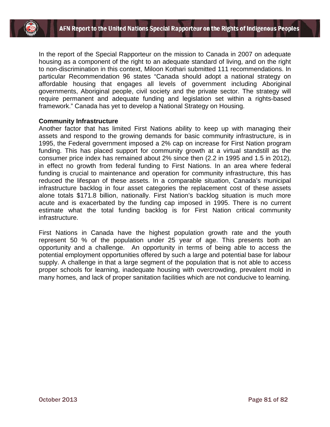

In the report of the Special Rapporteur on the mission to Canada in 2007 on adequate housing as a component of the right to an adequate standard of living, and on the right to non-discrimination in this context, Miloon Kothari submitted 111 recommendations. In particular Recommendation 96 states "Canada should adopt a national strategy on affordable housing that engages all levels of government including Aboriginal governments, Aboriginal people, civil society and the private sector. The strategy will require permanent and adequate funding and legislation set within a rights-based framework." Canada has yet to develop a National Strategy on Housing.

### **Community Infrastructure**

Another factor that has limited First Nations ability to keep up with managing their assets and respond to the growing demands for basic community infrastructure, is in 1995, the Federal government imposed a 2% cap on increase for First Nation program funding. This has placed support for community growth at a virtual standstill as the consumer price index has remained about 2% since then (2.2 in 1995 and 1.5 in 2012), in effect no growth from federal funding to First Nations. In an area where federal funding is crucial to maintenance and operation for community infrastructure, this has reduced the lifespan of these assets. In a comparable situation, Canada's municipal infrastructure backlog in four asset categories the replacement cost of these assets alone totals \$171.8 billion, nationally. First Nation's backlog situation is much more acute and is exacerbated by the funding cap imposed in 1995. There is no current estimate what the total funding backlog is for First Nation critical community infrastructure.

First Nations in Canada have the highest population growth rate and the youth represent 50 % of the population under 25 year of age. This presents both an opportunity and a challenge. An opportunity in terms of being able to access the potential employment opportunities offered by such a large and potential base for labour supply. A challenge in that a large segment of the population that is not able to access proper schools for learning, inadequate housing with overcrowding, prevalent mold in many homes, and lack of proper sanitation facilities which are not conducive to learning.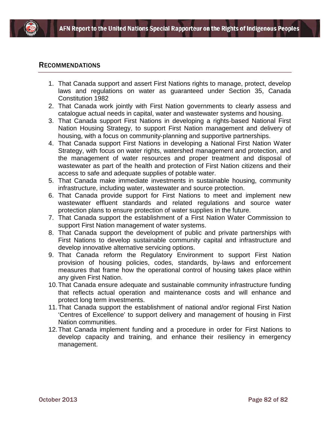

### RECOMMENDATIONS

- 1. That Canada support and assert First Nations rights to manage, protect, develop laws and regulations on water as guaranteed under Section 35, Canada Constitution 1982
- 2. That Canada work jointly with First Nation governments to clearly assess and catalogue actual needs in capital, water and wastewater systems and housing.
- 3. That Canada support First Nations in developing a rights-based National First Nation Housing Strategy, to support First Nation management and delivery of housing, with a focus on community-planning and supportive partnerships.
- 4. That Canada support First Nations in developing a National First Nation Water Strategy, with focus on water rights, watershed management and protection, and the management of water resources and proper treatment and disposal of wastewater as part of the health and protection of First Nation citizens and their access to safe and adequate supplies of potable water.
- 5. That Canada make immediate investments in sustainable housing, community infrastructure, including water, wastewater and source protection.
- 6. That Canada provide support for First Nations to meet and implement new wastewater effluent standards and related regulations and source water protection plans to ensure protection of water supplies in the future.
- 7. That Canada support the establishment of a First Nation Water Commission to support First Nation management of water systems.
- 8. That Canada support the development of public and private partnerships with First Nations to develop sustainable community capital and infrastructure and develop innovative alternative servicing options.
- 9. That Canada reform the Regulatory Environment to support First Nation provision of housing policies, codes, standards, by-laws and enforcement measures that frame how the operational control of housing takes place within any given First Nation.
- 10.That Canada ensure adequate and sustainable community infrastructure funding that reflects actual operation and maintenance costs and will enhance and protect long term investments.
- 11.That Canada support the establishment of national and/or regional First Nation 'Centres of Excellence' to support delivery and management of housing in First Nation communities.
- 12.That Canada implement funding and a procedure in order for First Nations to develop capacity and training, and enhance their resiliency in emergency management.